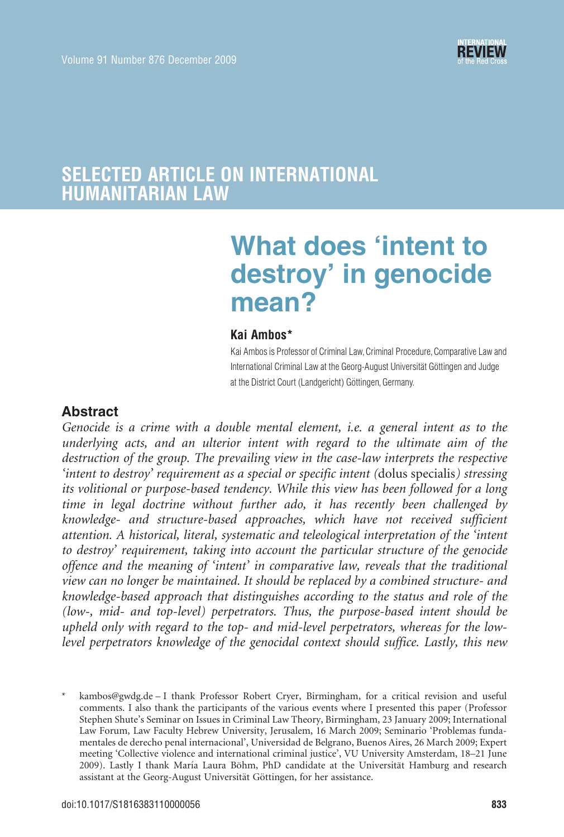

# SELECTED ARTICLE ON INTERNATIONAL HUMANITARIAN LAW

# What does 'intent to destroy' in genocide mean?

#### Kai Ambos\*

Kai Ambos is Professor of Criminal Law, Criminal Procedure, Comparative Law and International Criminal Law at the Georg-August Universität Göttingen and Judge at the District Court (Landgericht) Göttingen, Germany.

#### Abstract

Genocide is a crime with a double mental element, i.e. a general intent as to the underlying acts, and an ulterior intent with regard to the ultimate aim of the destruction of the group. The prevailing view in the case-law interprets the respective 'intent to destroy' requirement as a special or specific intent (dolus specialis) stressing its volitional or purpose-based tendency. While this view has been followed for a long time in legal doctrine without further ado, it has recently been challenged by knowledge- and structure-based approaches, which have not received sufficient attention. A historical, literal, systematic and teleological interpretation of the 'intent to destroy' requirement, taking into account the particular structure of the genocide offence and the meaning of 'intent' in comparative law, reveals that the traditional view can no longer be maintained. It should be replaced by a combined structure- and knowledge-based approach that distinguishes according to the status and role of the (low-, mid- and top-level) perpetrators. Thus, the purpose-based intent should be upheld only with regard to the top- and mid-level perpetrators, whereas for the lowlevel perpetrators knowledge of the genocidal context should suffice. Lastly, this new

kambos@gwdg.de – I thank Professor Robert Cryer, Birmingham, for a critical revision and useful comments. I also thank the participants of the various events where I presented this paper (Professor Stephen Shute's Seminar on Issues in Criminal Law Theory, Birmingham, 23 January 2009; International Law Forum, Law Faculty Hebrew University, Jerusalem, 16 March 2009; Seminario 'Problemas fundamentales de derecho penal internacional', Universidad de Belgrano, Buenos Aires, 26 March 2009; Expert meeting 'Collective violence and international criminal justice', VU University Amsterdam, 18–21 June 2009). Lastly I thank María Laura Böhm, PhD candidate at the Universität Hamburg and research assistant at the Georg-August Universität Göttingen, for her assistance.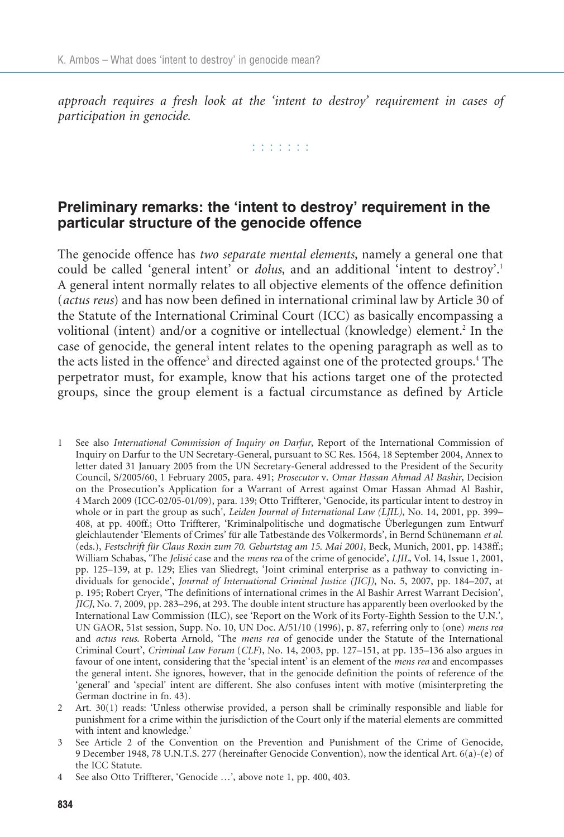approach requires a fresh look at the 'intent to destroy' requirement in cases of participation in genocide.

#### **Editoria**

# Preliminary remarks: the 'intent to destroy' requirement in the particular structure of the genocide offence

The genocide offence has two separate mental elements, namely a general one that could be called 'general intent' or *dolus*, and an additional 'intent to destroy'.<sup>1</sup> A general intent normally relates to all objective elements of the offence definition (actus reus) and has now been defined in international criminal law by Article 30 of the Statute of the International Criminal Court (ICC) as basically encompassing a volitional (intent) and/or a cognitive or intellectual (knowledge) element.<sup>2</sup> In the case of genocide, the general intent relates to the opening paragraph as well as to the acts listed in the offence<sup>3</sup> and directed against one of the protected groups.<sup>4</sup> The perpetrator must, for example, know that his actions target one of the protected groups, since the group element is a factual circumstance as defined by Article

- 1 See also International Commission of Inquiry on Darfur, Report of the International Commission of Inquiry on Darfur to the UN Secretary-General, pursuant to SC Res. 1564, 18 September 2004, Annex to letter dated 31 January 2005 from the UN Secretary-General addressed to the President of the Security Council, S/2005/60, 1 February 2005, para. 491; Prosecutor v. Omar Hassan Ahmad Al Bashir, Decision on the Prosecution's Application for a Warrant of Arrest against Omar Hassan Ahmad Al Bashir, 4 March 2009 (ICC-02/05-01/09), para. 139; Otto Triffterer, 'Genocide, its particular intent to destroy in whole or in part the group as such', Leiden Journal of International Law (LJIL), No. 14, 2001, pp. 399– 408, at pp. 400ff.; Otto Triffterer, 'Kriminalpolitische und dogmatische Überlegungen zum Entwurf gleichlautender 'Elements of Crimes' für alle Tatbestände des Völkermords', in Bernd Schünemann et al. (eds.), Festschrift für Claus Roxin zum 70. Geburtstag am 15. Mai 2001, Beck, Munich, 2001, pp. 1438ff.; William Schabas, 'The Jelisić case and the mens rea of the crime of genocide', LJIL, Vol. 14, Issue 1, 2001, pp. 125–139, at p. 129; Elies van Sliedregt, 'Joint criminal enterprise as a pathway to convicting individuals for genocide', Journal of International Criminal Justice (JICJ), No. 5, 2007, pp. 184–207, at p. 195; Robert Cryer, 'The definitions of international crimes in the Al Bashir Arrest Warrant Decision', JICJ, No. 7, 2009, pp. 283–296, at 293. The double intent structure has apparently been overlooked by the International Law Commission (ILC), see 'Report on the Work of its Forty-Eighth Session to the U.N.', UN GAOR, 51st session, Supp. No. 10, UN Doc. A/51/10 (1996), p. 87, referring only to (one) mens rea and actus reus. Roberta Arnold, 'The mens rea of genocide under the Statute of the International Criminal Court', Criminal Law Forum (CLF), No. 14, 2003, pp. 127–151, at pp. 135–136 also argues in favour of one intent, considering that the 'special intent' is an element of the mens rea and encompasses the general intent. She ignores, however, that in the genocide definition the points of reference of the 'general' and 'special' intent are different. She also confuses intent with motive (misinterpreting the German doctrine in fn. 43).
- 2 Art. 30(1) reads: 'Unless otherwise provided, a person shall be criminally responsible and liable for punishment for a crime within the jurisdiction of the Court only if the material elements are committed with intent and knowledge.'
- 3 See Article 2 of the Convention on the Prevention and Punishment of the Crime of Genocide, 9 December 1948, 78 U.N.T.S. 277 (hereinafter Genocide Convention), now the identical Art. 6(a)-(e) of the ICC Statute.
- See also Otto Triffterer, 'Genocide ...', above note 1, pp. 400, 403.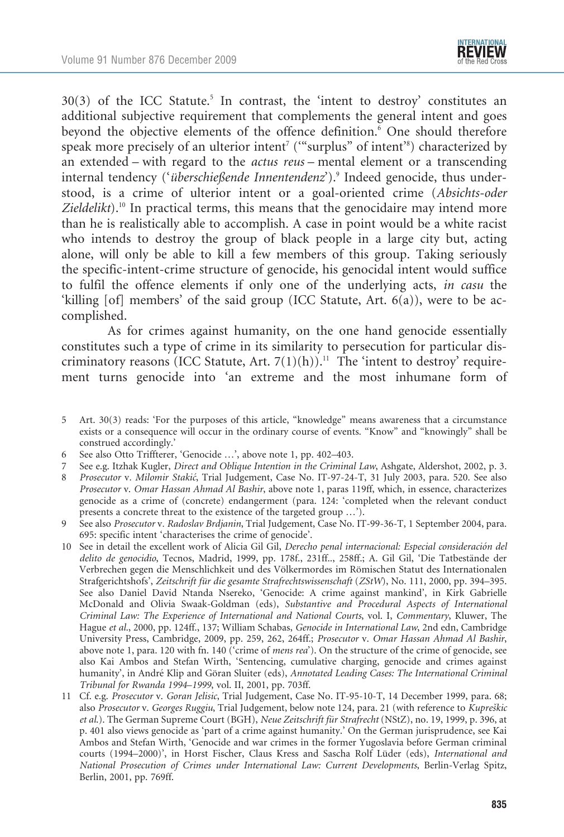

 $30(3)$  of the ICC Statute.<sup>5</sup> In contrast, the 'intent to destroy' constitutes an additional subjective requirement that complements the general intent and goes beyond the objective elements of the offence definition.<sup>6</sup> One should therefore speak more precisely of an ulterior intent<sup>7</sup> (""surplus" of intent<sup>38</sup>) characterized by an extended – with regard to the actus reus – mental element or a transcending internal tendency ('überschießende Innentendenz').<sup>9</sup> Indeed genocide, thus understood, is a crime of ulterior intent or a goal-oriented crime (Absichts-oder  $Zieldelikt$ ).<sup>10</sup> In practical terms, this means that the genocidaire may intend more than he is realistically able to accomplish. A case in point would be a white racist who intends to destroy the group of black people in a large city but, acting alone, will only be able to kill a few members of this group. Taking seriously the specific-intent-crime structure of genocide, his genocidal intent would suffice to fulfil the offence elements if only one of the underlying acts, in casu the 'killing [of] members' of the said group (ICC Statute, Art. 6(a)), were to be accomplished.

As for crimes against humanity, on the one hand genocide essentially constitutes such a type of crime in its similarity to persecution for particular discriminatory reasons (ICC Statute, Art.  $7(1)(h)$ ).<sup>11</sup> The 'intent to destroy' requirement turns genocide into 'an extreme and the most inhumane form of

- 5 Art. 30(3) reads: 'For the purposes of this article, "knowledge" means awareness that a circumstance exists or a consequence will occur in the ordinary course of events. "Know" and "knowingly" shall be construed accordingly.'
- 6 See also Otto Triffterer, 'Genocide …', above note 1, pp. 402–403.
- See e.g. Itzhak Kugler, Direct and Oblique Intention in the Criminal Law, Ashgate, Aldershot, 2002, p. 3.
- 8 Prosecutor v. Milomir Stakić, Trial Judgement, Case No. IT-97-24-T, 31 July 2003, para. 520. See also Prosecutor v. Omar Hassan Ahmad Al Bashir, above note 1, paras 119ff, which, in essence, characterizes genocide as a crime of (concrete) endangerment (para. 124: 'completed when the relevant conduct presents a concrete threat to the existence of the targeted group …').
- 9 See also Prosecutor v. Radoslav Brdjanin, Trial Judgement, Case No. IT-99-36-T, 1 September 2004, para. 695: specific intent 'characterises the crime of genocide'.
- 10 See in detail the excellent work of Alicia Gil Gil, Derecho penal internacional: Especial consideración del delito de genocidio, Tecnos, Madrid, 1999, pp. 178f., 231ff.., 258ff.; A. Gil Gil, 'Die Tatbestände der Verbrechen gegen die Menschlichkeit und des Völkermordes im Römischen Statut des Internationalen Strafgerichtshofs', Zeitschrift für die gesamte Strafrechtswissenschaft (ZStW), No. 111, 2000, pp. 394–395. See also Daniel David Ntanda Nsereko, 'Genocide: A crime against mankind', in Kirk Gabrielle McDonald and Olivia Swaak-Goldman (eds), Substantive and Procedural Aspects of International Criminal Law: The Experience of International and National Courts, vol. I, Commentary, Kluwer, The Hague et al., 2000, pp. 124ff., 137; William Schabas, Genocide in International Law, 2nd edn, Cambridge University Press, Cambridge, 2009, pp. 259, 262, 264ff.; Prosecutor v. Omar Hassan Ahmad Al Bashir, above note 1, para. 120 with fn. 140 ('crime of mens rea'). On the structure of the crime of genocide, see also Kai Ambos and Stefan Wirth, 'Sentencing, cumulative charging, genocide and crimes against humanity', in André Klip and Göran Sluiter (eds), Annotated Leading Cases: The International Criminal Tribunal for Rwanda 1994–1999, vol. II, 2001, pp. 703ff.
- 11 Cf. e.g. Prosecutor v. Goran Jelisic, Trial Judgement, Case No. IT-95-10-T, 14 December 1999, para. 68; also Prosecutor v. Georges Ruggiu, Trial Judgement, below note 124, para. 21 (with reference to Kupreškic et al.). The German Supreme Court (BGH), Neue Zeitschrift für Strafrecht (NStZ), no. 19, 1999, p. 396, at p. 401 also views genocide as 'part of a crime against humanity.' On the German jurisprudence, see Kai Ambos and Stefan Wirth, 'Genocide and war crimes in the former Yugoslavia before German criminal courts (1994–2000)', in Horst Fischer, Claus Kress and Sascha Rolf Lüder (eds), International and National Prosecution of Crimes under International Law: Current Developments, Berlin-Verlag Spitz, Berlin, 2001, pp. 769ff.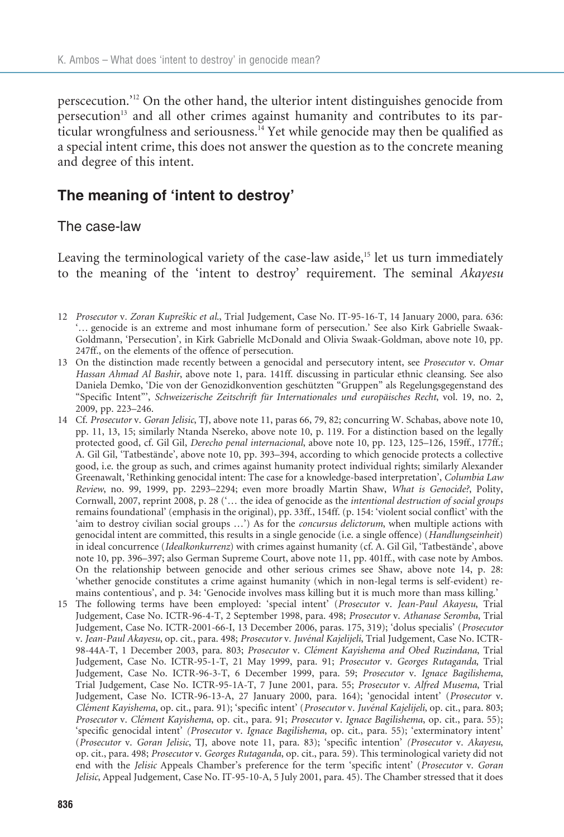perscecution.'12 On the other hand, the ulterior intent distinguishes genocide from persecution<sup>13</sup> and all other crimes against humanity and contributes to its particular wrongfulness and seriousness.<sup>14</sup> Yet while genocide may then be qualified as a special intent crime, this does not answer the question as to the concrete meaning and degree of this intent.

# The meaning of 'intent to destroy'

#### The case-law

Leaving the terminological variety of the case-law aside,<sup>15</sup> let us turn immediately to the meaning of the 'intent to destroy' requirement. The seminal Akayesu

- 12 Prosecutor v. Zoran Kupreškic et al., Trial Judgement, Case No. IT-95-16-T, 14 January 2000, para. 636: '… genocide is an extreme and most inhumane form of persecution.' See also Kirk Gabrielle Swaak-Goldmann, 'Persecution', in Kirk Gabrielle McDonald and Olivia Swaak-Goldman, above note 10, pp. 247ff., on the elements of the offence of persecution.
- 13 On the distinction made recently between a genocidal and persecutory intent, see Prosecutor v. Omar Hassan Ahmad Al Bashir, above note 1, para. 141ff. discussing in particular ethnic cleansing. See also Daniela Demko, 'Die von der Genozidkonvention geschützten "Gruppen" als Regelungsgegenstand des "Specific Intent"', Schweizerische Zeitschrift für Internationales und europäisches Recht, vol. 19, no. 2, 2009, pp. 223–246.
- 14 Cf. Prosecutor v. Goran Jelisic, TJ, above note 11, paras 66, 79, 82; concurring W. Schabas, above note 10, pp. 11, 13, 15; similarly Ntanda Nsereko, above note 10, p. 119. For a distinction based on the legally protected good, cf. Gil Gil, Derecho penal internacional, above note 10, pp. 123, 125–126, 159ff., 177ff.; A. Gil Gil, 'Tatbestände', above note 10, pp. 393–394, according to which genocide protects a collective good, i.e. the group as such, and crimes against humanity protect individual rights; similarly Alexander Greenawalt, 'Rethinking genocidal intent: The case for a knowledge-based interpretation', Columbia Law Review, no. 99, 1999, pp. 2293–2294; even more broadly Martin Shaw, What is Genocide?, Polity, Cornwall, 2007, reprint 2008, p. 28 ('… the idea of genocide as the intentional destruction of social groups remains foundational' (emphasis in the original), pp. 33ff., 154ff. (p. 154: 'violent social conflict' with the 'aim to destroy civilian social groups ...') As for the concursus delictorum, when multiple actions with genocidal intent are committed, this results in a single genocide (i.e. a single offence) (Handlungseinheit) in ideal concurrence (Idealkonkurrenz) with crimes against humanity (cf. A. Gil Gil, 'Tatbestände', above note 10, pp. 396–397; also German Supreme Court, above note 11, pp. 401ff., with case note by Ambos. On the relationship between genocide and other serious crimes see Shaw, above note 14, p. 28: 'whether genocide constitutes a crime against humanity (which in non-legal terms is self-evident) remains contentious', and p. 34: 'Genocide involves mass killing but it is much more than mass killing.'
- 15 The following terms have been employed: 'special intent' (Prosecutor v. Jean-Paul Akayesu, Trial Judgement, Case No. ICTR-96-4-T, 2 September 1998, para. 498; Prosecutor v. Athanase Seromba, Trial Judgement, Case No. ICTR-2001-66-I, 13 December 2006, paras. 175, 319); 'dolus specialis' (Prosecutor v. Jean-Paul Akayesu, op. cit., para. 498; Prosecutor v. Juvénal Kajelijeli, Trial Judgement, Case No. ICTR-98-44A-T, 1 December 2003, para. 803; Prosecutor v. Clément Kayishema and Obed Ruzindana, Trial Judgement, Case No. ICTR-95-1-T, 21 May 1999, para. 91; Prosecutor v. Georges Rutaganda, Trial Judgement, Case No. ICTR-96-3-T, 6 December 1999, para. 59; Prosecutor v. Ignace Bagilishema, Trial Judgement, Case No. ICTR-95-1A-T, 7 June 2001, para. 55; Prosecutor v. Alfred Musema, Trial Judgement, Case No. ICTR-96-13-A, 27 January 2000, para. 164); 'genocidal intent' (Prosecutor v. Clément Kayishema, op. cit., para. 91); 'specific intent' (Prosecutor v. Juvénal Kajelijeli, op. cit., para. 803; Prosecutor v. Clément Kayishema, op. cit., para. 91; Prosecutor v. Ignace Bagilishema, op. cit., para. 55); 'specific genocidal intent' (Prosecutor v. Ignace Bagilishema, op. cit., para. 55); 'exterminatory intent' (Prosecutor v. Goran Jelisic, TJ, above note 11, para. 83); 'specific intention' (Prosecutor v. Akayesu, op. cit., para. 498; Prosecutor v. Georges Rutaganda, op. cit., para. 59). This terminological variety did not end with the Jelisic Appeals Chamber's preference for the term 'specific intent' (Prosecutor v. Goran Jelisic, Appeal Judgement, Case No. IT-95-10-A, 5 July 2001, para. 45). The Chamber stressed that it does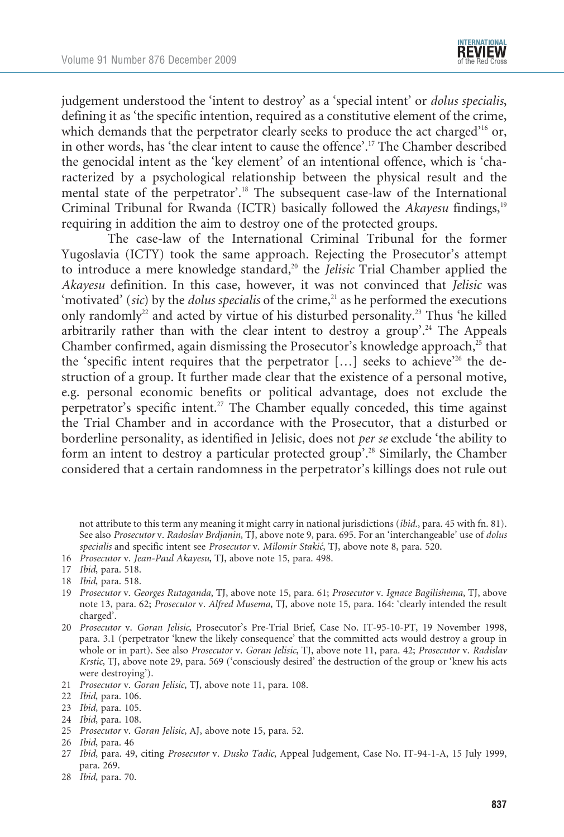judgement understood the 'intent to destroy' as a 'special intent' or dolus specialis, defining it as 'the specific intention, required as a constitutive element of the crime, which demands that the perpetrator clearly seeks to produce the act charged<sup>16</sup> or, in other words, has 'the clear intent to cause the offence'.17 The Chamber described the genocidal intent as the 'key element' of an intentional offence, which is 'characterized by a psychological relationship between the physical result and the mental state of the perpetrator'.<sup>18</sup> The subsequent case-law of the International Criminal Tribunal for Rwanda (ICTR) basically followed the Akayesu findings,<sup>19</sup> requiring in addition the aim to destroy one of the protected groups.

The case-law of the International Criminal Tribunal for the former Yugoslavia (ICTY) took the same approach. Rejecting the Prosecutor's attempt to introduce a mere knowledge standard,<sup>20</sup> the *Jelisic* Trial Chamber applied the Akayesu definition. In this case, however, it was not convinced that *Jelisic* was 'motivated' (sic) by the *dolus specialis* of the crime, $21$  as he performed the executions only randomly<sup>22</sup> and acted by virtue of his disturbed personality.<sup>23</sup> Thus 'he killed arbitrarily rather than with the clear intent to destroy a group'.<sup>24</sup> The Appeals Chamber confirmed, again dismissing the Prosecutor's knowledge approach,<sup>25</sup> that the 'specific intent requires that the perpetrator  $[...]$  seeks to achieve<sup>226</sup> the destruction of a group. It further made clear that the existence of a personal motive, e.g. personal economic benefits or political advantage, does not exclude the perpetrator's specific intent.<sup>27</sup> The Chamber equally conceded, this time against the Trial Chamber and in accordance with the Prosecutor, that a disturbed or borderline personality, as identified in Jelisic, does not per se exclude 'the ability to form an intent to destroy a particular protected group'.<sup>28</sup> Similarly, the Chamber considered that a certain randomness in the perpetrator's killings does not rule out

- 16 Prosecutor v. Jean-Paul Akayesu, TJ, above note 15, para. 498.
- 17 Ibid, para. 518.
- 18 Ibid, para. 518.
- 19 Prosecutor v. Georges Rutaganda, TJ, above note 15, para. 61; Prosecutor v. Ignace Bagilishema, TJ, above note 13, para. 62; Prosecutor v. Alfred Musema, TJ, above note 15, para. 164: 'clearly intended the result charged'.
- 20 Prosecutor v. Goran Jelisic, Prosecutor's Pre-Trial Brief, Case No. IT-95-10-PT, 19 November 1998, para. 3.1 (perpetrator 'knew the likely consequence' that the committed acts would destroy a group in whole or in part). See also Prosecutor v. Goran Jelisic, TJ, above note 11, para. 42; Prosecutor v. Radislav Krstic, TJ, above note 29, para. 569 ('consciously desired' the destruction of the group or 'knew his acts were destroying').
- 21 Prosecutor v. Goran Jelisic, TJ, above note 11, para. 108.
- 22 Ibid, para. 106.
- 23 Ibid, para. 105.
- 24 Ibid, para. 108.
- 25 Prosecutor v. Goran Jelisic, AJ, above note 15, para. 52.
- 26 Ibid, para. 46
- 27 Ibid, para. 49, citing Prosecutor v. Dusko Tadic, Appeal Judgement, Case No. IT-94-1-A, 15 July 1999, para. 269.
- 28 Ibid, para. 70.

not attribute to this term any meaning it might carry in national jurisdictions (ibid., para. 45 with fn. 81). See also Prosecutor v. Radoslav Brdjanin, TJ, above note 9, para. 695. For an 'interchangeable' use of dolus specialis and specific intent see Prosecutor v. Milomir Stakić, TJ, above note 8, para. 520.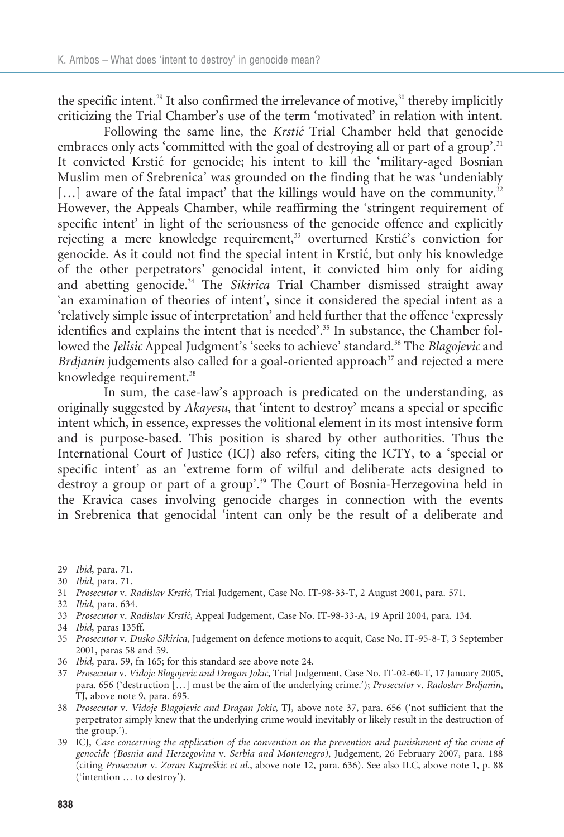the specific intent.<sup>29</sup> It also confirmed the irrelevance of motive,<sup>30</sup> thereby implicitly criticizing the Trial Chamber's use of the term 'motivated' in relation with intent.

Following the same line, the Krstić Trial Chamber held that genocide embraces only acts 'committed with the goal of destroying all or part of a group'.<sup>31</sup> It convicted Krstić for genocide; his intent to kill the 'military-aged Bosnian Muslim men of Srebrenica' was grounded on the finding that he was 'undeniably  $[...]$  aware of the fatal impact' that the killings would have on the community.<sup>32</sup> However, the Appeals Chamber, while reaffirming the 'stringent requirement of specific intent' in light of the seriousness of the genocide offence and explicitly rejecting a mere knowledge requirement,<sup>33</sup> overturned Krstic's conviction for genocide. As it could not find the special intent in Krstic´, but only his knowledge of the other perpetrators' genocidal intent, it convicted him only for aiding and abetting genocide.<sup>34</sup> The Sikirica Trial Chamber dismissed straight away 'an examination of theories of intent', since it considered the special intent as a 'relatively simple issue of interpretation' and held further that the offence 'expressly identifies and explains the intent that is needed'.<sup>35</sup> In substance, the Chamber followed the Jelisic Appeal Judgment's 'seeks to achieve' standard.<sup>36</sup> The Blagojevic and Brdjanin judgements also called for a goal-oriented approach<sup>37</sup> and rejected a mere knowledge requirement.<sup>38</sup>

In sum, the case-law's approach is predicated on the understanding, as originally suggested by Akayesu, that 'intent to destroy' means a special or specific intent which, in essence, expresses the volitional element in its most intensive form and is purpose-based. This position is shared by other authorities. Thus the International Court of Justice (ICJ) also refers, citing the ICTY, to a 'special or specific intent' as an 'extreme form of wilful and deliberate acts designed to destroy a group or part of a group'.39 The Court of Bosnia-Herzegovina held in the Kravica cases involving genocide charges in connection with the events in Srebrenica that genocidal 'intent can only be the result of a deliberate and

- 30 Ibid, para. 71.
- 31 Prosecutor v. Radislav Krstić, Trial Judgement, Case No. IT-98-33-T, 2 August 2001, para. 571.
- 32 Ibid, para. 634.
- 33 Prosecutor v. Radislav Krstic´, Appeal Judgement, Case No. IT-98-33-A, 19 April 2004, para. 134.
- 34 Ibid, paras 135ff.
- 35 Prosecutor v. Dusko Sikirica, Judgement on defence motions to acquit, Case No. IT-95-8-T, 3 September 2001, paras 58 and 59.
- 36 Ibid, para. 59, fn 165; for this standard see above note 24.
- 37 Prosecutor v. Vidoje Blagojevic and Dragan Jokic, Trial Judgement, Case No. IT-02-60-T, 17 January 2005, para. 656 ('destruction […] must be the aim of the underlying crime.'); Prosecutor v. Radoslav Brdjanin, TJ, above note 9, para. 695.
- 38 Prosecutor v. Vidoje Blagojevic and Dragan Jokic, TJ, above note 37, para. 656 ('not sufficient that the perpetrator simply knew that the underlying crime would inevitably or likely result in the destruction of the group.').
- 39 ICJ, Case concerning the application of the convention on the prevention and punishment of the crime of genocide (Bosnia and Herzegovina v. Serbia and Montenegro), Judgement, 26 February 2007, para. 188 (citing Prosecutor v. Zoran Kupreškic et al., above note 12, para. 636). See also ILC, above note 1, p. 88 ('intention … to destroy').

<sup>29</sup> Ibid, para. 71.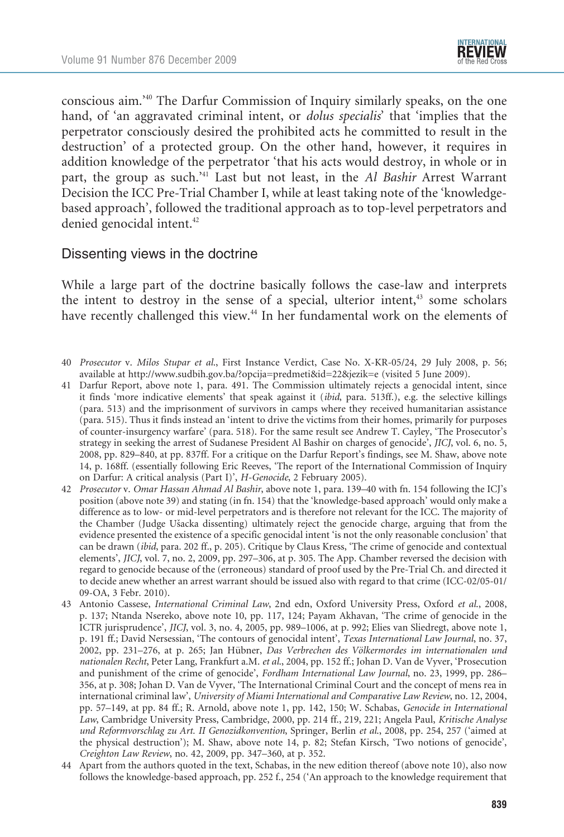

conscious aim.'40 The Darfur Commission of Inquiry similarly speaks, on the one hand, of 'an aggravated criminal intent, or dolus specialis' that 'implies that the perpetrator consciously desired the prohibited acts he committed to result in the destruction' of a protected group. On the other hand, however, it requires in addition knowledge of the perpetrator 'that his acts would destroy, in whole or in part, the group as such.<sup>341</sup> Last but not least, in the Al Bashir Arrest Warrant Decision the ICC Pre-Trial Chamber I, while at least taking note of the 'knowledgebased approach', followed the traditional approach as to top-level perpetrators and denied genocidal intent.<sup>42</sup>

## Dissenting views in the doctrine

While a large part of the doctrine basically follows the case-law and interprets the intent to destroy in the sense of a special, ulterior intent, $43$  some scholars have recently challenged this view.<sup>44</sup> In her fundamental work on the elements of

- 40 Prosecutor v. Milos Stupar et al., First Instance Verdict, Case No. X-KR-05/24, 29 July 2008, p. 56; available at http://www.sudbih.gov.ba/?opcija=predmeti&id=22&jezik=e (visited 5 June 2009).
- 41 Darfur Report, above note 1, para. 491. The Commission ultimately rejects a genocidal intent, since it finds 'more indicative elements' that speak against it (ibid, para. 513ff.), e.g. the selective killings (para. 513) and the imprisonment of survivors in camps where they received humanitarian assistance (para. 515). Thus it finds instead an 'intent to drive the victims from their homes, primarily for purposes of counter-insurgency warfare' (para. 518). For the same result see Andrew T. Cayley, 'The Prosecutor's strategy in seeking the arrest of Sudanese President Al Bashir on charges of genocide', JICJ, vol. 6, no. 5, 2008, pp. 829–840, at pp. 837ff. For a critique on the Darfur Report's findings, see M. Shaw, above note 14, p. 168ff. (essentially following Eric Reeves, 'The report of the International Commission of Inquiry on Darfur: A critical analysis (Part I)', H-Genocide, 2 February 2005).
- 42 Prosecutor v. Omar Hassan Ahmad Al Bashir, above note 1, para. 139–40 with fn. 154 following the ICJ's position (above note 39) and stating (in fn. 154) that the 'knowledge-based approach' would only make a difference as to low- or mid-level perpetrators and is therefore not relevant for the ICC. The majority of the Chamber (Judge Ušacka dissenting) ultimately reject the genocide charge, arguing that from the evidence presented the existence of a specific genocidal intent 'is not the only reasonable conclusion' that can be drawn (ibid, para. 202 ff., p. 205). Critique by Claus Kress, 'The crime of genocide and contextual elements', JICJ, vol. 7, no. 2, 2009, pp. 297–306, at p. 305. The App. Chamber reversed the decision with regard to genocide because of the (erroneous) standard of proof used by the Pre-Trial Ch. and directed it to decide anew whether an arrest warrant should be issued also with regard to that crime (ICC-02/05-01/ 09-OA, 3 Febr. 2010).
- 43 Antonio Cassese, International Criminal Law, 2nd edn, Oxford University Press, Oxford et al., 2008, p. 137; Ntanda Nsereko, above note 10, pp. 117, 124; Payam Akhavan, 'The crime of genocide in the ICTR jurisprudence', JICJ, vol. 3, no. 4, 2005, pp. 989–1006, at p. 992; Elies van Sliedregt, above note 1, p. 191 ff.; David Nersessian, 'The contours of genocidal intent', Texas International Law Journal, no. 37, 2002, pp. 231–276, at p. 265; Jan Hübner, Das Verbrechen des Völkermordes im internationalen und nationalen Recht, Peter Lang, Frankfurt a.M. et al., 2004, pp. 152 ff.; Johan D. Van de Vyver, 'Prosecution and punishment of the crime of genocide', Fordham International Law Journal, no. 23, 1999, pp. 286– 356, at p. 308; Johan D. Van de Vyver, 'The International Criminal Court and the concept of mens rea in international criminal law', University of Miami International and Comparative Law Review, no. 12, 2004, pp. 57–149, at pp. 84 ff.; R. Arnold, above note 1, pp. 142, 150; W. Schabas, Genocide in International Law, Cambridge University Press, Cambridge, 2000, pp. 214 ff., 219, 221; Angela Paul, Kritische Analyse und Reformvorschlag zu Art. II Genozidkonvention, Springer, Berlin et al., 2008, pp. 254, 257 ('aimed at the physical destruction'); M. Shaw, above note 14, p. 82; Stefan Kirsch, 'Two notions of genocide', Creighton Law Review, no. 42, 2009, pp. 347–360, at p. 352.
- 44 Apart from the authors quoted in the text, Schabas, in the new edition thereof (above note 10), also now follows the knowledge-based approach, pp. 252 f., 254 ('An approach to the knowledge requirement that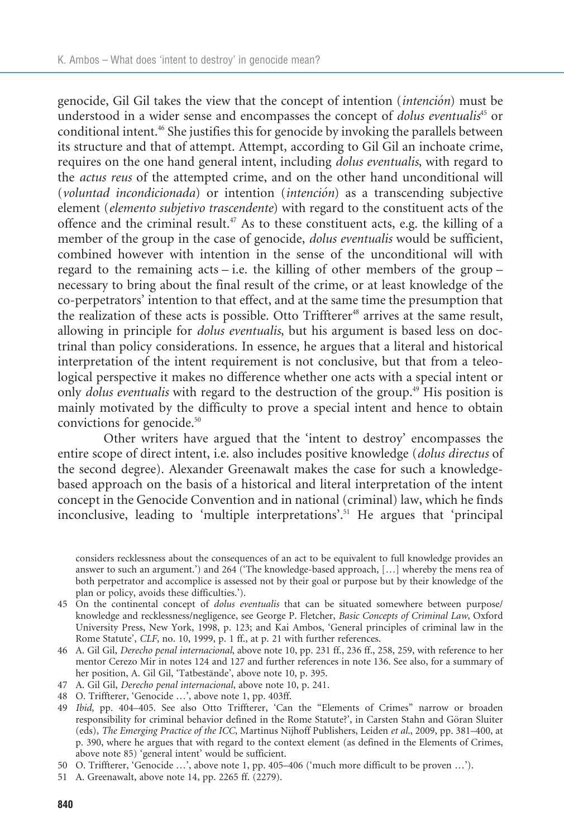genocide, Gil Gil takes the view that the concept of intention (*intención*) must be understood in a wider sense and encompasses the concept of *dolus eventualis*<sup>45</sup> or conditional intent.46 She justifies this for genocide by invoking the parallels between its structure and that of attempt. Attempt, according to Gil Gil an inchoate crime, requires on the one hand general intent, including dolus eventualis, with regard to the actus reus of the attempted crime, and on the other hand unconditional will (voluntad incondicionada) or intention (intención) as a transcending subjective element (elemento subjetivo trascendente) with regard to the constituent acts of the offence and the criminal result.47 As to these constituent acts, e.g. the killing of a member of the group in the case of genocide, *dolus eventualis* would be sufficient, combined however with intention in the sense of the unconditional will with regard to the remaining acts – i.e. the killing of other members of the group – necessary to bring about the final result of the crime, or at least knowledge of the co-perpetrators' intention to that effect, and at the same time the presumption that the realization of these acts is possible. Otto Triffterer<sup>48</sup> arrives at the same result, allowing in principle for dolus eventualis, but his argument is based less on doctrinal than policy considerations. In essence, he argues that a literal and historical interpretation of the intent requirement is not conclusive, but that from a teleological perspective it makes no difference whether one acts with a special intent or only *dolus eventualis* with regard to the destruction of the group.<sup>49</sup> His position is mainly motivated by the difficulty to prove a special intent and hence to obtain convictions for genocide.<sup>50</sup>

Other writers have argued that the 'intent to destroy' encompasses the entire scope of direct intent, i.e. also includes positive knowledge (dolus directus of the second degree). Alexander Greenawalt makes the case for such a knowledgebased approach on the basis of a historical and literal interpretation of the intent concept in the Genocide Convention and in national (criminal) law, which he finds inconclusive, leading to 'multiple interpretations'.<sup>51</sup> He argues that 'principal

- 47 A. Gil Gil, Derecho penal internacional, above note 10, p. 241.
- 48 O. Triffterer, 'Genocide …', above note 1, pp. 403ff.

- 50 O. Triffterer, 'Genocide …', above note 1, pp. 405–406 ('much more difficult to be proven …').
- 51 A. Greenawalt, above note 14, pp. 2265 ff. (2279).

considers recklessness about the consequences of an act to be equivalent to full knowledge provides an answer to such an argument.') and 264 ('The knowledge-based approach, […] whereby the mens rea of both perpetrator and accomplice is assessed not by their goal or purpose but by their knowledge of the plan or policy, avoids these difficulties.').

<sup>45</sup> On the continental concept of *dolus eventualis* that can be situated somewhere between purpose/ knowledge and recklessness/negligence, see George P. Fletcher, Basic Concepts of Criminal Law, Oxford University Press, New York, 1998, p. 123; and Kai Ambos, 'General principles of criminal law in the Rome Statute', CLF, no. 10, 1999, p. 1 ff., at p. 21 with further references.

<sup>46</sup> A. Gil Gil, Derecho penal internacional, above note 10, pp. 231 ff., 236 ff., 258, 259, with reference to her mentor Cerezo Mir in notes 124 and 127 and further references in note 136. See also, for a summary of her position, A. Gil Gil, 'Tatbestände', above note 10, p. 395.

<sup>49</sup> Ibid, pp. 404–405. See also Otto Triffterer, 'Can the "Elements of Crimes" narrow or broaden responsibility for criminal behavior defined in the Rome Statute?', in Carsten Stahn and Göran Sluiter (eds), The Emerging Practice of the ICC, Martinus Nijhoff Publishers, Leiden et al., 2009, pp. 381–400, at p. 390, where he argues that with regard to the context element (as defined in the Elements of Crimes, above note 85) 'general intent' would be sufficient.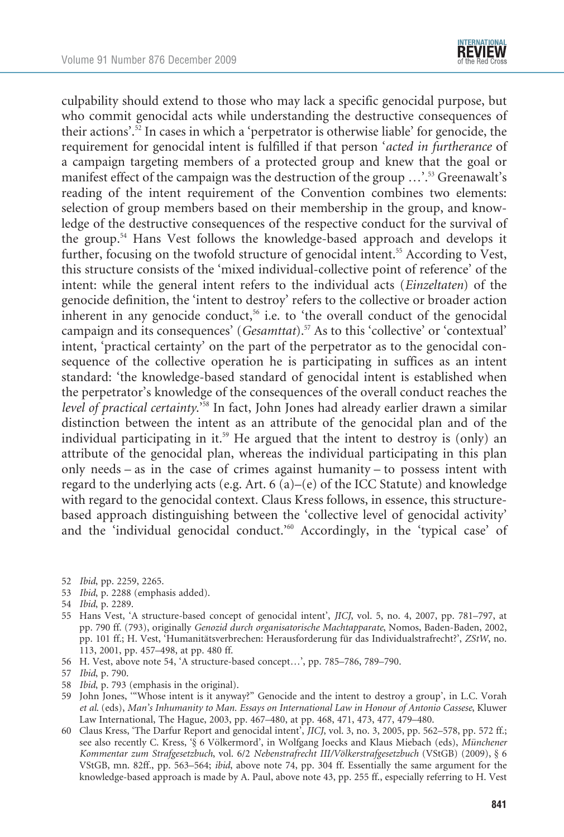

culpability should extend to those who may lack a specific genocidal purpose, but who commit genocidal acts while understanding the destructive consequences of their actions'.52 In cases in which a 'perpetrator is otherwise liable' for genocide, the requirement for genocidal intent is fulfilled if that person 'acted in furtherance of a campaign targeting members of a protected group and knew that the goal or manifest effect of the campaign was the destruction of the group ...'.<sup>53</sup> Greenawalt's reading of the intent requirement of the Convention combines two elements: selection of group members based on their membership in the group, and knowledge of the destructive consequences of the respective conduct for the survival of the group.<sup>54</sup> Hans Vest follows the knowledge-based approach and develops it further, focusing on the twofold structure of genocidal intent.<sup>55</sup> According to Vest, this structure consists of the 'mixed individual-collective point of reference' of the intent: while the general intent refers to the individual acts (Einzeltaten) of the genocide definition, the 'intent to destroy' refers to the collective or broader action inherent in any genocide conduct,<sup>56</sup> i.e. to 'the overall conduct of the genocidal campaign and its consequences' (Gesamttat).57 As to this 'collective' or 'contextual' intent, 'practical certainty' on the part of the perpetrator as to the genocidal consequence of the collective operation he is participating in suffices as an intent standard: 'the knowledge-based standard of genocidal intent is established when the perpetrator's knowledge of the consequences of the overall conduct reaches the level of practical certainty.<sup>558</sup> In fact, John Jones had already earlier drawn a similar distinction between the intent as an attribute of the genocidal plan and of the individual participating in it.<sup>59</sup> He argued that the intent to destroy is (only) an attribute of the genocidal plan, whereas the individual participating in this plan only needs – as in the case of crimes against humanity – to possess intent with regard to the underlying acts (e.g. Art. 6 (a)–(e) of the ICC Statute) and knowledge with regard to the genocidal context. Claus Kress follows, in essence, this structurebased approach distinguishing between the 'collective level of genocidal activity' and the 'individual genocidal conduct.'<sup>60</sup> Accordingly, in the 'typical case' of

- 52 Ibid, pp. 2259, 2265.
- 53 Ibid, p. 2288 (emphasis added).
- 54 Ibid, p. 2289.
- 55 Hans Vest, 'A structure-based concept of genocidal intent', JICJ, vol. 5, no. 4, 2007, pp. 781–797, at pp. 790 ff. (793), originally Genozid durch organisatorische Machtapparate, Nomos, Baden-Baden, 2002, pp. 101 ff.; H. Vest, 'Humanitätsverbrechen: Herausforderung für das Individualstrafrecht?', ZStW, no. 113, 2001, pp. 457–498, at pp. 480 ff.
- 56 H. Vest, above note 54, 'A structure-based concept…', pp. 785–786, 789–790.
- 57 Ibid, p. 790.
- 58 Ibid, p. 793 (emphasis in the original).
- 59 John Jones, '"Whose intent is it anyway?" Genocide and the intent to destroy a group', in L.C. Vorah et al. (eds), Man's Inhumanity to Man. Essays on International Law in Honour of Antonio Cassese, Kluwer Law International, The Hague, 2003, pp. 467–480, at pp. 468, 471, 473, 477, 479–480.
- 60 Claus Kress, 'The Darfur Report and genocidal intent', JICJ, vol. 3, no. 3, 2005, pp. 562–578, pp. 572 ff.; see also recently C. Kress, '§ 6 Völkermord', in Wolfgang Joecks and Klaus Miebach (eds), Münchener Kommentar zum Strafgesetzbuch, vol. 6/2 Nebenstrafrecht III/Völkerstrafgesetzbuch (VStGB) (2009), § 6 VStGB, mn. 82ff., pp. 563–564; ibid, above note 74, pp. 304 ff. Essentially the same argument for the knowledge-based approach is made by A. Paul, above note 43, pp. 255 ff., especially referring to H. Vest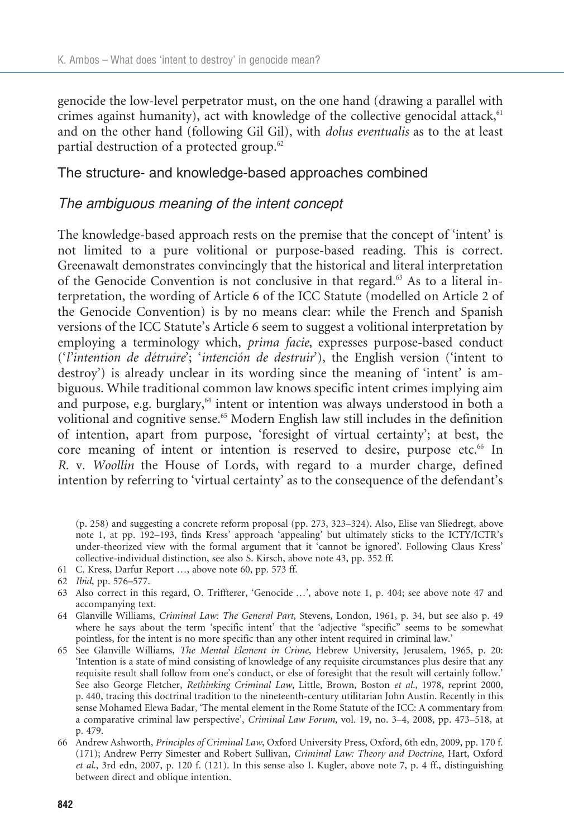genocide the low-level perpetrator must, on the one hand (drawing a parallel with crimes against humanity), act with knowledge of the collective genocidal attack, $61$ and on the other hand (following Gil Gil), with dolus eventualis as to the at least partial destruction of a protected group.<sup>62</sup>

#### The structure- and knowledge-based approaches combined

### The ambiguous meaning of the intent concept

The knowledge-based approach rests on the premise that the concept of 'intent' is not limited to a pure volitional or purpose-based reading. This is correct. Greenawalt demonstrates convincingly that the historical and literal interpretation of the Genocide Convention is not conclusive in that regard.<sup>63</sup> As to a literal interpretation, the wording of Article 6 of the ICC Statute (modelled on Article 2 of the Genocide Convention) is by no means clear: while the French and Spanish versions of the ICC Statute's Article 6 seem to suggest a volitional interpretation by employing a terminology which, prima facie, expresses purpose-based conduct ('l'intention de détruire'; 'intención de destruir'), the English version ('intent to destroy') is already unclear in its wording since the meaning of 'intent' is ambiguous. While traditional common law knows specific intent crimes implying aim and purpose, e.g. burglary,<sup>64</sup> intent or intention was always understood in both a volitional and cognitive sense.<sup>65</sup> Modern English law still includes in the definition of intention, apart from purpose, 'foresight of virtual certainty'; at best, the core meaning of intent or intention is reserved to desire, purpose etc.<sup>66</sup> In R. v. Woollin the House of Lords, with regard to a murder charge, defined intention by referring to 'virtual certainty' as to the consequence of the defendant's

(p. 258) and suggesting a concrete reform proposal (pp. 273, 323–324). Also, Elise van Sliedregt, above note 1, at pp. 192–193, finds Kress' approach 'appealing' but ultimately sticks to the ICTY/ICTR's under-theorized view with the formal argument that it 'cannot be ignored'. Following Claus Kress' collective-individual distinction, see also S. Kirsch, above note 43, pp. 352 ff.

61 C. Kress, Darfur Report …, above note 60, pp. 573 ff.

<sup>62</sup> Ibid, pp. 576–577.

<sup>63</sup> Also correct in this regard, O. Triffterer, 'Genocide …', above note 1, p. 404; see above note 47 and accompanying text.

<sup>64</sup> Glanville Williams, Criminal Law: The General Part, Stevens, London, 1961, p. 34, but see also p. 49 where he says about the term 'specific intent' that the 'adjective "specific" seems to be somewhat pointless, for the intent is no more specific than any other intent required in criminal law.'

<sup>65</sup> See Glanville Williams, The Mental Element in Crime, Hebrew University, Jerusalem, 1965, p. 20: 'Intention is a state of mind consisting of knowledge of any requisite circumstances plus desire that any requisite result shall follow from one's conduct, or else of foresight that the result will certainly follow.' See also George Fletcher, Rethinking Criminal Law, Little, Brown, Boston et al., 1978, reprint 2000, p. 440, tracing this doctrinal tradition to the nineteenth-century utilitarian John Austin. Recently in this sense Mohamed Elewa Badar, 'The mental element in the Rome Statute of the ICC: A commentary from a comparative criminal law perspective', Criminal Law Forum, vol. 19, no. 3–4, 2008, pp. 473–518, at p. 479.

<sup>66</sup> Andrew Ashworth, Principles of Criminal Law, Oxford University Press, Oxford, 6th edn, 2009, pp. 170 f. (171); Andrew Perry Simester and Robert Sullivan, Criminal Law: Theory and Doctrine, Hart, Oxford et al., 3rd edn, 2007, p. 120 f. (121). In this sense also I. Kugler, above note 7, p. 4 ff., distinguishing between direct and oblique intention.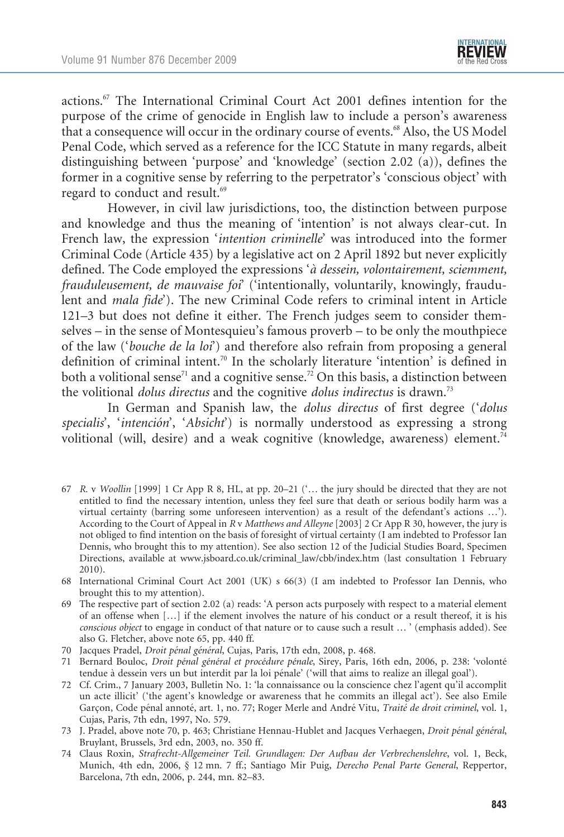

actions.67 The International Criminal Court Act 2001 defines intention for the purpose of the crime of genocide in English law to include a person's awareness that a consequence will occur in the ordinary course of events.<sup>68</sup> Also, the US Model Penal Code, which served as a reference for the ICC Statute in many regards, albeit distinguishing between 'purpose' and 'knowledge' (section 2.02 (a)), defines the former in a cognitive sense by referring to the perpetrator's 'conscious object' with regard to conduct and result.<sup>69</sup>

However, in civil law jurisdictions, too, the distinction between purpose and knowledge and thus the meaning of 'intention' is not always clear-cut. In French law, the expression 'intention criminelle' was introduced into the former Criminal Code (Article 435) by a legislative act on 2 April 1892 but never explicitly defined. The Code employed the expressions 'à dessein, volontairement, sciemment, frauduleusement, de mauvaise foi' ('intentionally, voluntarily, knowingly, fraudulent and mala fide'). The new Criminal Code refers to criminal intent in Article 121–3 but does not define it either. The French judges seem to consider themselves – in the sense of Montesquieu's famous proverb – to be only the mouthpiece of the law ('bouche de la loi') and therefore also refrain from proposing a general definition of criminal intent.70 In the scholarly literature 'intention' is defined in both a volitional sense<sup>71</sup> and a cognitive sense.<sup>72</sup> On this basis, a distinction between the volitional *dolus directus* and the cognitive *dolus indirectus* is drawn.<sup>73</sup>

In German and Spanish law, the dolus directus of first degree ('dolus specialis', 'intención', 'Absicht') is normally understood as expressing a strong volitional (will, desire) and a weak cognitive (knowledge, awareness) element.<sup>74</sup>

- 67 R. v Woollin [1999] 1 Cr App R 8, HL, at pp. 20–21 ('… the jury should be directed that they are not entitled to find the necessary intention, unless they feel sure that death or serious bodily harm was a virtual certainty (barring some unforeseen intervention) as a result of the defendant's actions …'). According to the Court of Appeal in R v Matthews and Alleyne [2003] 2 Cr App R 30, however, the jury is not obliged to find intention on the basis of foresight of virtual certainty (I am indebted to Professor Ian Dennis, who brought this to my attention). See also section 12 of the Judicial Studies Board, Specimen Directions, available at www.jsboard.co.uk/criminal\_law/cbb/index.htm (last consultation 1 February 2010).
- 68 International Criminal Court Act 2001 (UK) s 66(3) (I am indebted to Professor Ian Dennis, who brought this to my attention).
- 69 The respective part of section 2.02 (a) reads: 'A person acts purposely with respect to a material element of an offense when […] if the element involves the nature of his conduct or a result thereof, it is his conscious object to engage in conduct of that nature or to cause such a result … ' (emphasis added). See also G. Fletcher, above note 65, pp. 440 ff.
- 70 Jacques Pradel, Droit pénal général, Cujas, Paris, 17th edn, 2008, p. 468.
- 71 Bernard Bouloc, Droit pénal général et procédure pénale, Sirey, Paris, 16th edn, 2006, p. 238: 'volonté tendue à dessein vers un but interdit par la loi pénale' ('will that aims to realize an illegal goal').
- 72 Cf. Crim., 7 January 2003, Bulletin No. 1: 'la connaissance ou la conscience chez l'agent qu'il accomplit un acte illicit' ('the agent's knowledge or awareness that he commits an illegal act'). See also Emile Garcon, Code pénal annoté, art. 1, no. 77; Roger Merle and André Vitu, Traité de droit criminel, vol. 1, Cujas, Paris, 7th edn, 1997, No. 579.
- 73 J. Pradel, above note 70, p. 463; Christiane Hennau-Hublet and Jacques Verhaegen, Droit pénal général, Bruylant, Brussels, 3rd edn, 2003, no. 350 ff.
- 74 Claus Roxin, Strafrecht-Allgemeiner Teil. Grundlagen: Der Aufbau der Verbrechenslehre, vol. 1, Beck, Munich, 4th edn, 2006, § 12 mn. 7 ff.; Santiago Mir Puig, Derecho Penal Parte General, Reppertor, Barcelona, 7th edn, 2006, p. 244, mn. 82–83.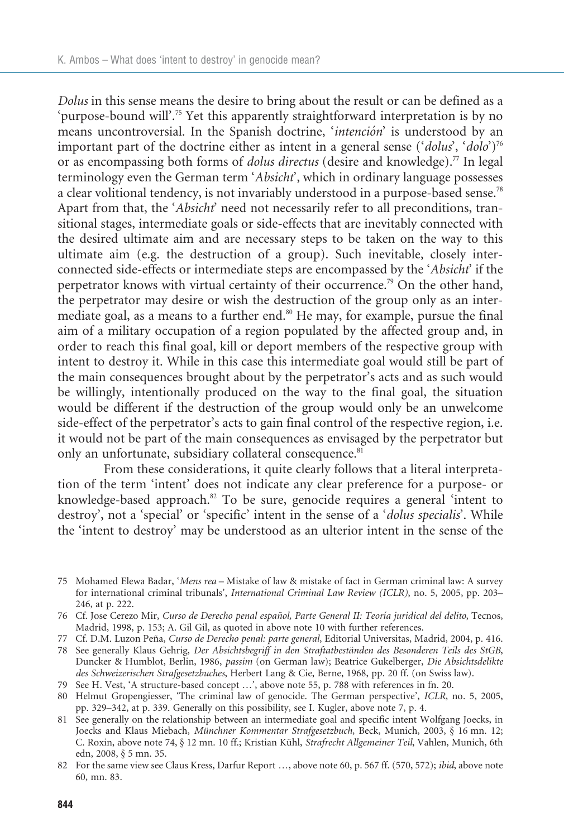Dolus in this sense means the desire to bring about the result or can be defined as a 'purpose-bound will'.75 Yet this apparently straightforward interpretation is by no means uncontroversial. In the Spanish doctrine, 'intención' is understood by an important part of the doctrine either as intent in a general sense (' $dolus$ ', ' $dolo$ ')<sup>76</sup> or as encompassing both forms of *dolus directus* (desire and knowledge).<sup>77</sup> In legal terminology even the German term 'Absicht', which in ordinary language possesses a clear volitional tendency, is not invariably understood in a purpose-based sense.78 Apart from that, the 'Absicht' need not necessarily refer to all preconditions, transitional stages, intermediate goals or side-effects that are inevitably connected with the desired ultimate aim and are necessary steps to be taken on the way to this ultimate aim (e.g. the destruction of a group). Such inevitable, closely interconnected side-effects or intermediate steps are encompassed by the 'Absicht' if the perpetrator knows with virtual certainty of their occurrence.<sup>79</sup> On the other hand, the perpetrator may desire or wish the destruction of the group only as an intermediate goal, as a means to a further end.<sup>80</sup> He may, for example, pursue the final aim of a military occupation of a region populated by the affected group and, in order to reach this final goal, kill or deport members of the respective group with intent to destroy it. While in this case this intermediate goal would still be part of the main consequences brought about by the perpetrator's acts and as such would be willingly, intentionally produced on the way to the final goal, the situation would be different if the destruction of the group would only be an unwelcome side-effect of the perpetrator's acts to gain final control of the respective region, i.e. it would not be part of the main consequences as envisaged by the perpetrator but only an unfortunate, subsidiary collateral consequence.<sup>81</sup>

From these considerations, it quite clearly follows that a literal interpretation of the term 'intent' does not indicate any clear preference for a purpose- or knowledge-based approach.<sup>82</sup> To be sure, genocide requires a general 'intent to destroy', not a 'special' or 'specific' intent in the sense of a 'dolus specialis'. While the 'intent to destroy' may be understood as an ulterior intent in the sense of the

<sup>75</sup> Mohamed Elewa Badar, 'Mens rea – Mistake of law & mistake of fact in German criminal law: A survey for international criminal tribunals', International Criminal Law Review (ICLR), no. 5, 2005, pp. 203– 246, at p. 222.

<sup>76</sup> Cf. Jose Cerezo Mir, Curso de Derecho penal español, Parte General II: Teoría juridical del delito, Tecnos, Madrid, 1998, p. 153; A. Gil Gil, as quoted in above note 10 with further references.

<sup>77</sup> Cf. D.M. Luzon Peña, Curso de Derecho penal: parte general, Editorial Universitas, Madrid, 2004, p. 416.

<sup>78</sup> See generally Klaus Gehrig, Der Absichtsbegriff in den Straftatbeständen des Besonderen Teils des StGB, Duncker & Humblot, Berlin, 1986, passim (on German law); Beatrice Gukelberger, Die Absichtsdelikte des Schweizerischen Strafgesetzbuches, Herbert Lang & Cie, Berne, 1968, pp. 20 ff. (on Swiss law).

<sup>79</sup> See H. Vest, 'A structure-based concept …', above note 55, p. 788 with references in fn. 20.

<sup>80</sup> Helmut Gropengiesser, 'The criminal law of genocide. The German perspective', ICLR, no. 5, 2005, pp. 329–342, at p. 339. Generally on this possibility, see I. Kugler, above note 7, p. 4.

<sup>81</sup> See generally on the relationship between an intermediate goal and specific intent Wolfgang Joecks, in Joecks and Klaus Miebach, Münchner Kommentar Strafgesetzbuch, Beck, Munich, 2003, § 16 mn. 12; C. Roxin, above note 74, § 12 mn. 10 ff.; Kristian Kühl, Strafrecht Allgemeiner Teil, Vahlen, Munich, 6th edn, 2008, § 5 mn. 35.

<sup>82</sup> For the same view see Claus Kress, Darfur Report …, above note 60, p. 567 ff. (570, 572); ibid, above note 60, mn. 83.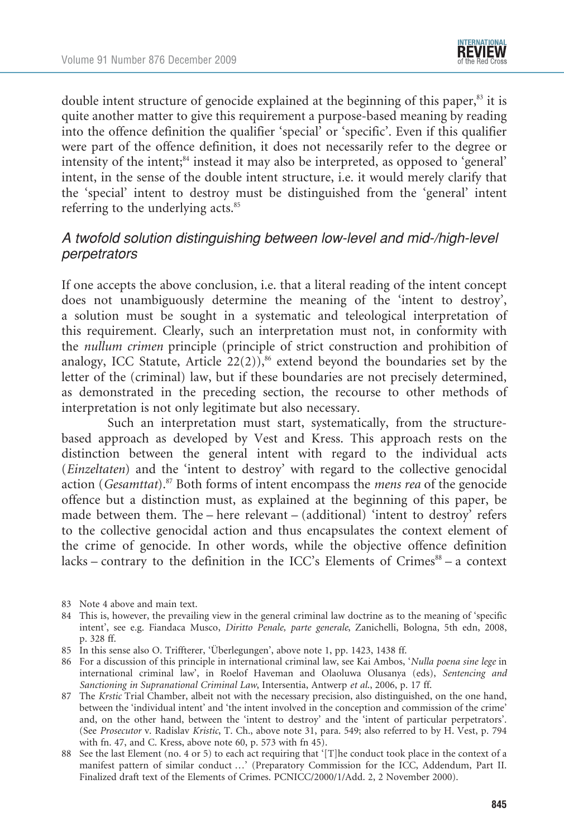double intent structure of genocide explained at the beginning of this paper, $^{83}$  it is quite another matter to give this requirement a purpose-based meaning by reading into the offence definition the qualifier 'special' or 'specific'. Even if this qualifier were part of the offence definition, it does not necessarily refer to the degree or intensity of the intent;<sup>84</sup> instead it may also be interpreted, as opposed to 'general' intent, in the sense of the double intent structure, i.e. it would merely clarify that the 'special' intent to destroy must be distinguished from the 'general' intent referring to the underlying acts.<sup>85</sup>

# A twofold solution distinguishing between low-level and mid-/high-level perpetrators

If one accepts the above conclusion, i.e. that a literal reading of the intent concept does not unambiguously determine the meaning of the 'intent to destroy', a solution must be sought in a systematic and teleological interpretation of this requirement. Clearly, such an interpretation must not, in conformity with the nullum crimen principle (principle of strict construction and prohibition of analogy, ICC Statute, Article  $22(2)$ ,<sup>86</sup> extend beyond the boundaries set by the letter of the (criminal) law, but if these boundaries are not precisely determined, as demonstrated in the preceding section, the recourse to other methods of interpretation is not only legitimate but also necessary.

Such an interpretation must start, systematically, from the structurebased approach as developed by Vest and Kress. This approach rests on the distinction between the general intent with regard to the individual acts (Einzeltaten) and the 'intent to destroy' with regard to the collective genocidal action (Gesamttat).<sup>87</sup> Both forms of intent encompass the *mens rea* of the genocide offence but a distinction must, as explained at the beginning of this paper, be made between them. The – here relevant – (additional) 'intent to destroy' refers to the collective genocidal action and thus encapsulates the context element of the crime of genocide. In other words, while the objective offence definition  $lacks - contrary$  to the definition in the ICC's Elements of Crimes $88 - a$  context

83 Note 4 above and main text.

85 In this sense also O. Triffterer, 'Überlegungen', above note 1, pp. 1423, 1438 ff.

88 See the last Element (no. 4 or 5) to each act requiring that '[T]he conduct took place in the context of a manifest pattern of similar conduct …' (Preparatory Commission for the ICC, Addendum, Part II. Finalized draft text of the Elements of Crimes. PCNICC/2000/1/Add. 2, 2 November 2000).

<sup>84</sup> This is, however, the prevailing view in the general criminal law doctrine as to the meaning of 'specific intent', see e.g. Fiandaca Musco, Diritto Penale, parte generale, Zanichelli, Bologna, 5th edn, 2008, p. 328 ff.

<sup>86</sup> For a discussion of this principle in international criminal law, see Kai Ambos, 'Nulla poena sine lege in international criminal law', in Roelof Haveman and Olaoluwa Olusanya (eds), Sentencing and Sanctioning in Supranational Criminal Law, Intersentia, Antwerp et al., 2006, p. 17 ff.

<sup>87</sup> The Krstic Trial Chamber, albeit not with the necessary precision, also distinguished, on the one hand, between the 'individual intent' and 'the intent involved in the conception and commission of the crime' and, on the other hand, between the 'intent to destroy' and the 'intent of particular perpetrators'. (See Prosecutor v. Radislav Kristic, T. Ch., above note 31, para. 549; also referred to by H. Vest, p. 794 with fn. 47, and C. Kress, above note 60, p. 573 with fn 45).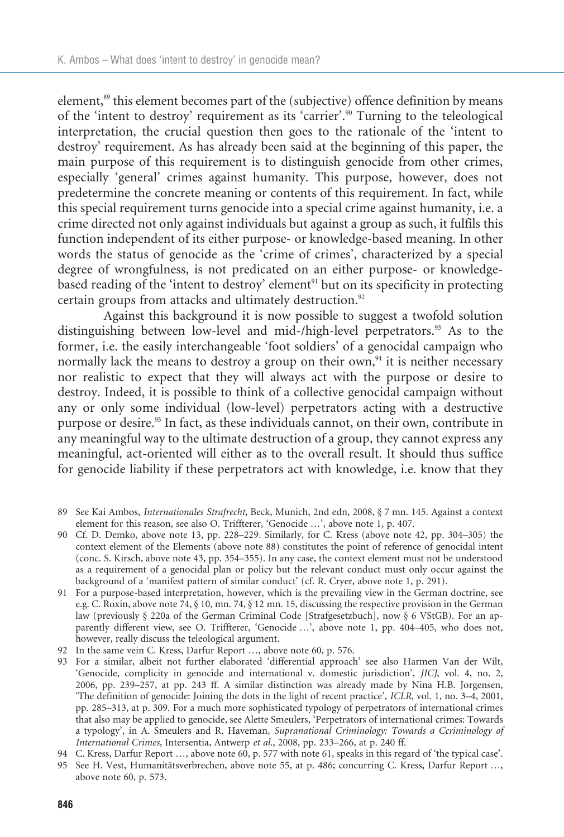element,<sup>89</sup> this element becomes part of the (subjective) offence definition by means of the 'intent to destroy' requirement as its 'carrier'.<sup>90</sup> Turning to the teleological interpretation, the crucial question then goes to the rationale of the 'intent to destroy' requirement. As has already been said at the beginning of this paper, the main purpose of this requirement is to distinguish genocide from other crimes, especially 'general' crimes against humanity. This purpose, however, does not predetermine the concrete meaning or contents of this requirement. In fact, while this special requirement turns genocide into a special crime against humanity, i.e. a crime directed not only against individuals but against a group as such, it fulfils this function independent of its either purpose- or knowledge-based meaning. In other words the status of genocide as the 'crime of crimes', characterized by a special degree of wrongfulness, is not predicated on an either purpose- or knowledgebased reading of the 'intent to destroy' element<sup>91</sup> but on its specificity in protecting certain groups from attacks and ultimately destruction.<sup>92</sup>

Against this background it is now possible to suggest a twofold solution distinguishing between low-level and mid-/high-level perpetrators.<sup>93</sup> As to the former, i.e. the easily interchangeable 'foot soldiers' of a genocidal campaign who normally lack the means to destroy a group on their own,  $94$  it is neither necessary nor realistic to expect that they will always act with the purpose or desire to destroy. Indeed, it is possible to think of a collective genocidal campaign without any or only some individual (low-level) perpetrators acting with a destructive purpose or desire.95 In fact, as these individuals cannot, on their own, contribute in any meaningful way to the ultimate destruction of a group, they cannot express any meaningful, act-oriented will either as to the overall result. It should thus suffice for genocide liability if these perpetrators act with knowledge, i.e. know that they

- 89 See Kai Ambos, Internationales Strafrecht, Beck, Munich, 2nd edn, 2008, § 7 mn. 145. Against a context element for this reason, see also O. Triffterer, 'Genocide …', above note 1, p. 407.
- 90 Cf. D. Demko, above note 13, pp. 228–229. Similarly, for C. Kress (above note 42, pp. 304–305) the context element of the Elements (above note 88) constitutes the point of reference of genocidal intent (conc. S. Kirsch, above note 43, pp. 354–355). In any case, the context element must not be understood as a requirement of a genocidal plan or policy but the relevant conduct must only occur against the background of a 'manifest pattern of similar conduct' (cf. R. Cryer, above note 1, p. 291).
- 91 For a purpose-based interpretation, however, which is the prevailing view in the German doctrine, see e.g. C. Roxin, above note 74,  $\S$  10, mn. 74,  $\S$  12 mn. 15, discussing the respective provision in the German law (previously  $\S$  220a of the German Criminal Code [Strafgesetzbuch], now  $\S$  6 VStGB). For an apparently different view, see O. Triffterer, 'Genocide …', above note 1, pp. 404–405, who does not, however, really discuss the teleological argument.
- 92 In the same vein C. Kress, Darfur Report …, above note 60, p. 576.
- 93 For a similar, albeit not further elaborated 'differential approach' see also Harmen Van der Wilt, 'Genocide, complicity in genocide and international v. domestic jurisdiction', JICJ, vol. 4, no. 2, 2006, pp. 239–257, at pp. 243 ff. A similar distinction was already made by Nina H.B. Jorgensen, 'The definition of genocide: Joining the dots in the light of recent practice', ICLR, vol. 1, no. 3–4, 2001, pp. 285–313, at p. 309. For a much more sophisticated typology of perpetrators of international crimes that also may be applied to genocide, see Alette Smeulers, 'Perpetrators of international crimes: Towards a typology', in A. Smeulers and R. Haveman, Supranational Criminology: Towards a Ccriminology of International Crimes, Intersentia, Antwerp et al., 2008, pp. 233–266, at p. 240 ff.
- 94 C. Kress, Darfur Report …, above note 60, p. 577 with note 61, speaks in this regard of 'the typical case'.
- 95 See H. Vest, Humanitätsverbrechen, above note 55, at p. 486; concurring C. Kress, Darfur Report ..., above note 60, p. 573.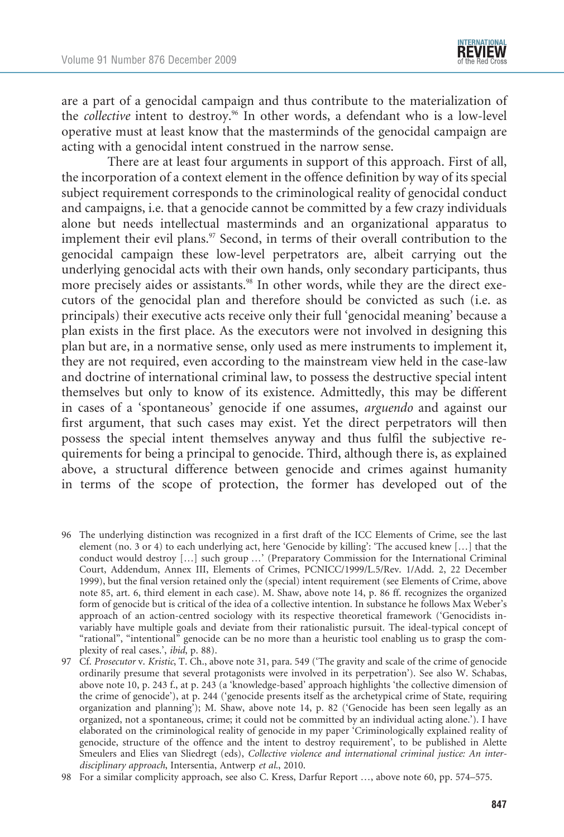

are a part of a genocidal campaign and thus contribute to the materialization of the *collective* intent to destroy.<sup>96</sup> In other words, a defendant who is a low-level operative must at least know that the masterminds of the genocidal campaign are acting with a genocidal intent construed in the narrow sense.

There are at least four arguments in support of this approach. First of all, the incorporation of a context element in the offence definition by way of its special subject requirement corresponds to the criminological reality of genocidal conduct and campaigns, i.e. that a genocide cannot be committed by a few crazy individuals alone but needs intellectual masterminds and an organizational apparatus to implement their evil plans.<sup>97</sup> Second, in terms of their overall contribution to the genocidal campaign these low-level perpetrators are, albeit carrying out the underlying genocidal acts with their own hands, only secondary participants, thus more precisely aides or assistants.<sup>98</sup> In other words, while they are the direct executors of the genocidal plan and therefore should be convicted as such (i.e. as principals) their executive acts receive only their full 'genocidal meaning' because a plan exists in the first place. As the executors were not involved in designing this plan but are, in a normative sense, only used as mere instruments to implement it, they are not required, even according to the mainstream view held in the case-law and doctrine of international criminal law, to possess the destructive special intent themselves but only to know of its existence. Admittedly, this may be different in cases of a 'spontaneous' genocide if one assumes, arguendo and against our first argument, that such cases may exist. Yet the direct perpetrators will then possess the special intent themselves anyway and thus fulfil the subjective requirements for being a principal to genocide. Third, although there is, as explained above, a structural difference between genocide and crimes against humanity in terms of the scope of protection, the former has developed out of the

96 The underlying distinction was recognized in a first draft of the ICC Elements of Crime, see the last element (no. 3 or 4) to each underlying act, here 'Genocide by killing': 'The accused knew […] that the conduct would destroy […] such group …' (Preparatory Commission for the International Criminal Court, Addendum, Annex III, Elements of Crimes, PCNICC/1999/L.5/Rev. 1/Add. 2, 22 December 1999), but the final version retained only the (special) intent requirement (see Elements of Crime, above note 85, art. 6, third element in each case). M. Shaw, above note 14, p. 86 ff. recognizes the organized form of genocide but is critical of the idea of a collective intention. In substance he follows Max Weber's approach of an action-centred sociology with its respective theoretical framework ('Genocidists invariably have multiple goals and deviate from their rationalistic pursuit. The ideal-typical concept of "rational", "intentional" genocide can be no more than a heuristic tool enabling us to grasp the complexity of real cases.', ibid, p. 88).

97 Cf. Prosecutor v. Kristic, T. Ch., above note 31, para. 549 ('The gravity and scale of the crime of genocide ordinarily presume that several protagonists were involved in its perpetration'). See also W. Schabas, above note 10, p. 243 f., at p. 243 (a 'knowledge-based' approach highlights 'the collective dimension of the crime of genocide'), at p. 244 ('genocide presents itself as the archetypical crime of State, requiring organization and planning'); M. Shaw, above note 14, p. 82 ('Genocide has been seen legally as an organized, not a spontaneous, crime; it could not be committed by an individual acting alone.'). I have elaborated on the criminological reality of genocide in my paper 'Criminologically explained reality of genocide, structure of the offence and the intent to destroy requirement', to be published in Alette Smeulers and Elies van Sliedregt (eds), Collective violence and international criminal justice: An interdisciplinary approach, Intersentia, Antwerp et al., 2010.

98 For a similar complicity approach, see also C. Kress, Darfur Report …, above note 60, pp. 574–575.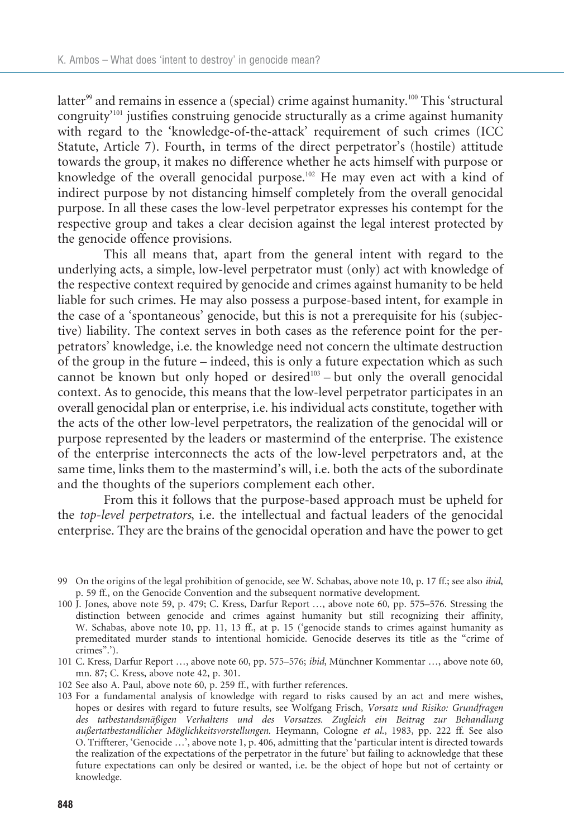latter<sup>99</sup> and remains in essence a (special) crime against humanity.<sup>100</sup> This 'structural congruity'101 justifies construing genocide structurally as a crime against humanity with regard to the 'knowledge-of-the-attack' requirement of such crimes (ICC Statute, Article 7). Fourth, in terms of the direct perpetrator's (hostile) attitude towards the group, it makes no difference whether he acts himself with purpose or knowledge of the overall genocidal purpose.<sup>102</sup> He may even act with a kind of indirect purpose by not distancing himself completely from the overall genocidal purpose. In all these cases the low-level perpetrator expresses his contempt for the respective group and takes a clear decision against the legal interest protected by the genocide offence provisions.

This all means that, apart from the general intent with regard to the underlying acts, a simple, low-level perpetrator must (only) act with knowledge of the respective context required by genocide and crimes against humanity to be held liable for such crimes. He may also possess a purpose-based intent, for example in the case of a 'spontaneous' genocide, but this is not a prerequisite for his (subjective) liability. The context serves in both cases as the reference point for the perpetrators' knowledge, i.e. the knowledge need not concern the ultimate destruction of the group in the future – indeed, this is only a future expectation which as such cannot be known but only hoped or desired<sup>103</sup> – but only the overall genocidal context. As to genocide, this means that the low-level perpetrator participates in an overall genocidal plan or enterprise, i.e. his individual acts constitute, together with the acts of the other low-level perpetrators, the realization of the genocidal will or purpose represented by the leaders or mastermind of the enterprise. The existence of the enterprise interconnects the acts of the low-level perpetrators and, at the same time, links them to the mastermind's will, i.e. both the acts of the subordinate and the thoughts of the superiors complement each other.

From this it follows that the purpose-based approach must be upheld for the top-level perpetrators, i.e. the intellectual and factual leaders of the genocidal enterprise. They are the brains of the genocidal operation and have the power to get

102 See also A. Paul, above note 60, p. 259 ff., with further references.

<sup>99</sup> On the origins of the legal prohibition of genocide, see W. Schabas, above note 10, p. 17 ff.; see also ibid, p. 59 ff., on the Genocide Convention and the subsequent normative development.

<sup>100</sup> J. Jones, above note 59, p. 479; C. Kress, Darfur Report …, above note 60, pp. 575–576. Stressing the distinction between genocide and crimes against humanity but still recognizing their affinity, W. Schabas, above note 10, pp. 11, 13 ff., at p. 15 ('genocide stands to crimes against humanity as premeditated murder stands to intentional homicide. Genocide deserves its title as the "crime of crimes".').

<sup>101</sup> C. Kress, Darfur Report ..., above note 60, pp. 575–576; ibid, Münchner Kommentar ..., above note 60, mn. 87; C. Kress, above note 42, p. 301.

<sup>103</sup> For a fundamental analysis of knowledge with regard to risks caused by an act and mere wishes, hopes or desires with regard to future results, see Wolfgang Frisch, Vorsatz und Risiko: Grundfragen des tatbestandsmäßigen Verhaltens und des Vorsatzes. Zugleich ein Beitrag zur Behandlung außertatbestandlicher Möglichkeitsvorstellungen. Heymann, Cologne et al., 1983, pp. 222 ff. See also O. Triffterer, 'Genocide …', above note 1, p. 406, admitting that the 'particular intent is directed towards the realization of the expectations of the perpetrator in the future' but failing to acknowledge that these future expectations can only be desired or wanted, i.e. be the object of hope but not of certainty or knowledge.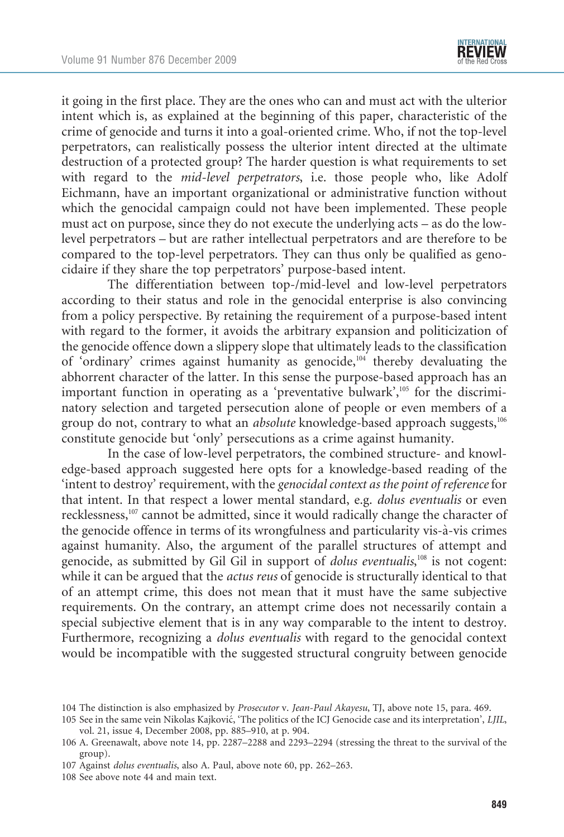it going in the first place. They are the ones who can and must act with the ulterior intent which is, as explained at the beginning of this paper, characteristic of the crime of genocide and turns it into a goal-oriented crime. Who, if not the top-level perpetrators, can realistically possess the ulterior intent directed at the ultimate destruction of a protected group? The harder question is what requirements to set with regard to the mid-level perpetrators, i.e. those people who, like Adolf Eichmann, have an important organizational or administrative function without which the genocidal campaign could not have been implemented. These people must act on purpose, since they do not execute the underlying acts – as do the lowlevel perpetrators – but are rather intellectual perpetrators and are therefore to be compared to the top-level perpetrators. They can thus only be qualified as genocidaire if they share the top perpetrators' purpose-based intent.

The differentiation between top-/mid-level and low-level perpetrators according to their status and role in the genocidal enterprise is also convincing from a policy perspective. By retaining the requirement of a purpose-based intent with regard to the former, it avoids the arbitrary expansion and politicization of the genocide offence down a slippery slope that ultimately leads to the classification of 'ordinary' crimes against humanity as genocide,<sup>104</sup> thereby devaluating the abhorrent character of the latter. In this sense the purpose-based approach has an important function in operating as a 'preventative bulwark',<sup>105</sup> for the discriminatory selection and targeted persecution alone of people or even members of a group do not, contrary to what an *absolute* knowledge-based approach suggests,<sup>106</sup> constitute genocide but 'only' persecutions as a crime against humanity.

In the case of low-level perpetrators, the combined structure- and knowledge-based approach suggested here opts for a knowledge-based reading of the 'intent to destroy' requirement, with the genocidal context as the point of reference for that intent. In that respect a lower mental standard, e.g. dolus eventualis or even recklessness,107 cannot be admitted, since it would radically change the character of the genocide offence in terms of its wrongfulness and particularity vis-à-vis crimes against humanity. Also, the argument of the parallel structures of attempt and genocide, as submitted by Gil Gil in support of *dolus eventualis*,<sup>108</sup> is not cogent: while it can be argued that the *actus reus* of genocide is structurally identical to that of an attempt crime, this does not mean that it must have the same subjective requirements. On the contrary, an attempt crime does not necessarily contain a special subjective element that is in any way comparable to the intent to destroy. Furthermore, recognizing a dolus eventualis with regard to the genocidal context would be incompatible with the suggested structural congruity between genocide

<sup>104</sup> The distinction is also emphasized by Prosecutor v. Jean-Paul Akayesu, TJ, above note 15, para. 469.

<sup>105</sup> See in the same vein Nikolas Kajković, 'The politics of the ICJ Genocide case and its interpretation', LJIL, vol. 21, issue 4, December 2008, pp. 885–910, at p. 904.

<sup>106</sup> A. Greenawalt, above note 14, pp. 2287–2288 and 2293–2294 (stressing the threat to the survival of the group).

<sup>107</sup> Against dolus eventualis, also A. Paul, above note 60, pp. 262–263.

<sup>108</sup> See above note 44 and main text.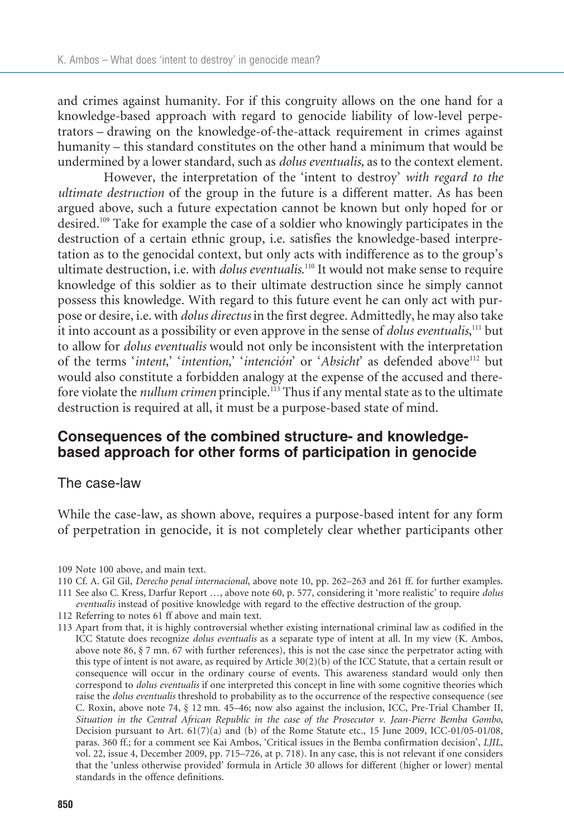and crimes against humanity. For if this congruity allows on the one hand for a knowledge-based approach with regard to genocide liability of low-level perpetrators – drawing on the knowledge-of-the-attack requirement in crimes against humanity – this standard constitutes on the other hand a minimum that would be undermined by a lower standard, such as dolus eventualis, as to the context element.

However, the interpretation of the 'intent to destroy' with regard to the ultimate destruction of the group in the future is a different matter. As has been argued above, such a future expectation cannot be known but only hoped for or desired.109 Take for example the case of a soldier who knowingly participates in the destruction of a certain ethnic group, i.e. satisfies the knowledge-based interpretation as to the genocidal context, but only acts with indifference as to the group's ultimate destruction, i.e. with *dolus eventualis*.<sup>110</sup> It would not make sense to require knowledge of this soldier as to their ultimate destruction since he simply cannot possess this knowledge. With regard to this future event he can only act with purpose or desire, i.e. with dolus directus in the first degree. Admittedly, he may also take it into account as a possibility or even approve in the sense of  $\it dollars$  eventualis, $^{\rm 111}$  but to allow for dolus eventualis would not only be inconsistent with the interpretation of the terms 'intent,' 'intention,' 'intención' or 'Absicht' as defended above<sup>112</sup> but would also constitute a forbidden analogy at the expense of the accused and therefore violate the *nullum crimen* principle.<sup>113</sup> Thus if any mental state as to the ultimate destruction is required at all, it must be a purpose-based state of mind.

# Consequences of the combined structure- and knowledgebased approach for other forms of participation in genocide

The case-law

While the case-law, as shown above, requires a purpose-based intent for any form of perpetration in genocide, it is not completely clear whether participants other

112 Referring to notes 61 ff above and main text.

<sup>109</sup> Note 100 above, and main text.

<sup>110</sup> Cf. A. Gil Gil, Derecho penal internacional, above note 10, pp. 262–263 and 261 ff. for further examples. 111 See also C. Kress, Darfur Report ..., above note 60, p. 577, considering it 'more realistic' to require dolus

eventualis instead of positive knowledge with regard to the effective destruction of the group.

<sup>113</sup> Apart from that, it is highly controversial whether existing international criminal law as codified in the ICC Statute does recognize dolus eventualis as a separate type of intent at all. In my view (K. Ambos, above note 86,  $\S 7$  mn. 67 with further references), this is not the case since the perpetrator acting with this type of intent is not aware, as required by Article 30(2)(b) of the ICC Statute, that a certain result or consequence will occur in the ordinary course of events. This awareness standard would only then correspond to *dolus eventualis* if one interpreted this concept in line with some cognitive theories which raise the dolus eventualis threshold to probability as to the occurrence of the respective consequence (see C. Roxin, above note 74,  $\S$  12 mn. 45–46; now also against the inclusion, ICC, Pre-Trial Chamber II, Situation in the Central African Republic in the case of the Prosecutor v. Jean-Pierre Bemba Gombo, Decision pursuant to Art. 61(7)(a) and (b) of the Rome Statute etc., 15 June 2009, ICC-01/05-01/08, paras. 360 ff.; for a comment see Kai Ambos, 'Critical issues in the Bemba confirmation decision', LJIL, vol. 22, issue 4, December 2009, pp. 715–726, at p. 718). In any case, this is not relevant if one considers that the 'unless otherwise provided' formula in Article 30 allows for different (higher or lower) mental standards in the offence definitions.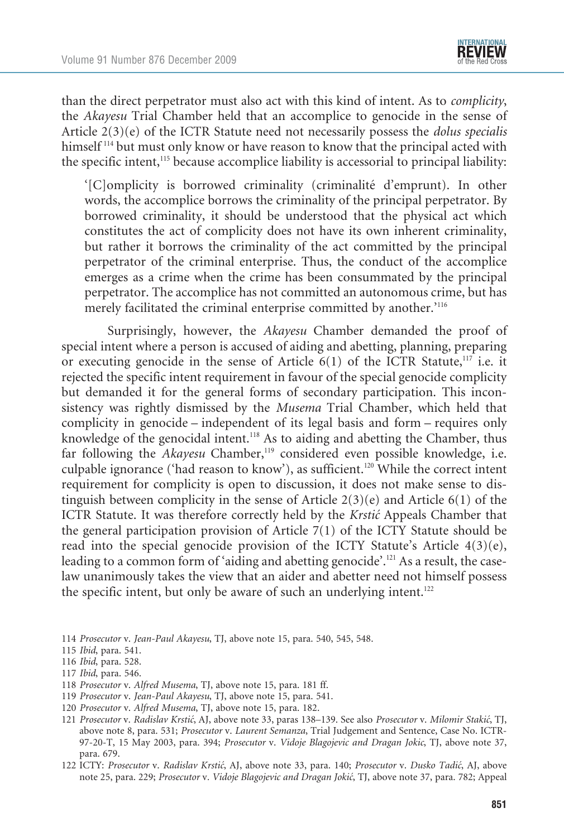than the direct perpetrator must also act with this kind of intent. As to complicity, the Akayesu Trial Chamber held that an accomplice to genocide in the sense of Article  $2(3)(e)$  of the ICTR Statute need not necessarily possess the *dolus specialis* himself <sup>114</sup> but must only know or have reason to know that the principal acted with the specific intent,<sup>115</sup> because accomplice liability is accessorial to principal liability:

'[C]omplicity is borrowed criminality (criminalite´ d'emprunt). In other words, the accomplice borrows the criminality of the principal perpetrator. By borrowed criminality, it should be understood that the physical act which constitutes the act of complicity does not have its own inherent criminality, but rather it borrows the criminality of the act committed by the principal perpetrator of the criminal enterprise. Thus, the conduct of the accomplice emerges as a crime when the crime has been consummated by the principal perpetrator. The accomplice has not committed an autonomous crime, but has merely facilitated the criminal enterprise committed by another.'116

Surprisingly, however, the Akayesu Chamber demanded the proof of special intent where a person is accused of aiding and abetting, planning, preparing or executing genocide in the sense of Article  $6(1)$  of the ICTR Statute,<sup>117</sup> i.e. it rejected the specific intent requirement in favour of the special genocide complicity but demanded it for the general forms of secondary participation. This inconsistency was rightly dismissed by the Musema Trial Chamber, which held that complicity in genocide – independent of its legal basis and form – requires only knowledge of the genocidal intent.<sup>118</sup> As to aiding and abetting the Chamber, thus far following the Akayesu Chamber,<sup>119</sup> considered even possible knowledge, i.e. culpable ignorance ('had reason to know'), as sufficient.<sup>120</sup> While the correct intent requirement for complicity is open to discussion, it does not make sense to distinguish between complicity in the sense of Article  $2(3)(e)$  and Article  $6(1)$  of the ICTR Statute. It was therefore correctly held by the Krstić Appeals Chamber that the general participation provision of Article 7(1) of the ICTY Statute should be read into the special genocide provision of the ICTY Statute's Article 4(3)(e), leading to a common form of 'aiding and abetting genocide'.<sup>121</sup> As a result, the caselaw unanimously takes the view that an aider and abetter need not himself possess the specific intent, but only be aware of such an underlying intent.<sup>122</sup>

- 114 Prosecutor v. Jean-Paul Akayesu, TJ, above note 15, para. 540, 545, 548.
- 115 Ibid, para. 541.
- 116 Ibid, para. 528.
- 117 Ibid, para. 546.
- 118 Prosecutor v. Alfred Musema, TJ, above note 15, para. 181 ff.
- 119 Prosecutor v. Jean-Paul Akayesu, TJ, above note 15, para. 541.
- 120 Prosecutor v. Alfred Musema, TJ, above note 15, para. 182.
- 121 Prosecutor v. Radislav Krstić, AJ, above note 33, paras 138-139. See also Prosecutor v. Milomir Stakić, TJ, above note 8, para. 531; Prosecutor v. Laurent Semanza, Trial Judgement and Sentence, Case No. ICTR-97-20-T, 15 May 2003, para. 394; Prosecutor v. Vidoje Blagojevic and Dragan Jokic, TJ, above note 37, para. 679.
- 122 ICTY: Prosecutor v. Radislav Krstic´, AJ, above note 33, para. 140; Prosecutor v. Dusko Tadic´, AJ, above note 25, para. 229; Prosecutor v. Vidoje Blagojevic and Dragan Jokić, TJ, above note 37, para. 782; Appeal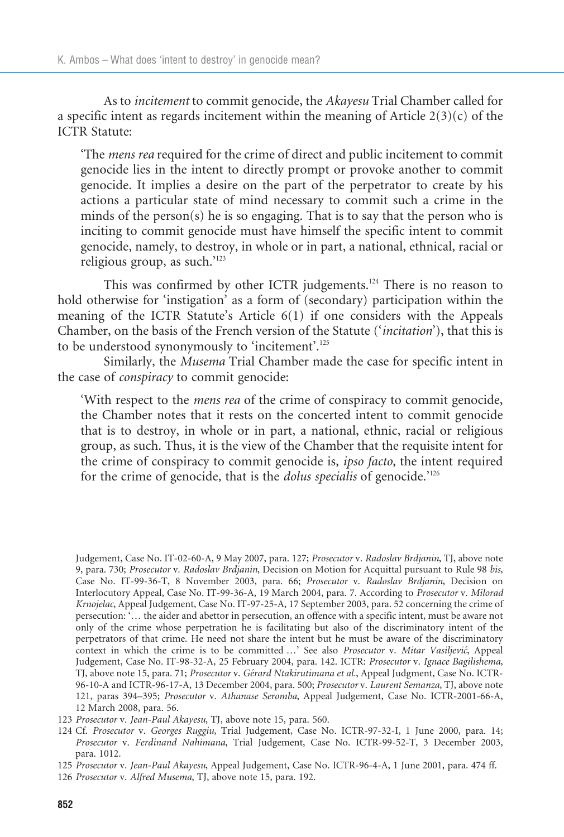As to incitement to commit genocide, the Akayesu Trial Chamber called for a specific intent as regards incitement within the meaning of Article  $2(3)(c)$  of the ICTR Statute:

'The mens rea required for the crime of direct and public incitement to commit genocide lies in the intent to directly prompt or provoke another to commit genocide. It implies a desire on the part of the perpetrator to create by his actions a particular state of mind necessary to commit such a crime in the minds of the person(s) he is so engaging. That is to say that the person who is inciting to commit genocide must have himself the specific intent to commit genocide, namely, to destroy, in whole or in part, a national, ethnical, racial or religious group, as such.'123

This was confirmed by other ICTR judgements.124 There is no reason to hold otherwise for 'instigation' as a form of (secondary) participation within the meaning of the ICTR Statute's Article 6(1) if one considers with the Appeals Chamber, on the basis of the French version of the Statute ('incitation'), that this is to be understood synonymously to 'incitement'.125

Similarly, the Musema Trial Chamber made the case for specific intent in the case of conspiracy to commit genocide:

'With respect to the mens rea of the crime of conspiracy to commit genocide, the Chamber notes that it rests on the concerted intent to commit genocide that is to destroy, in whole or in part, a national, ethnic, racial or religious group, as such. Thus, it is the view of the Chamber that the requisite intent for the crime of conspiracy to commit genocide is, ipso facto, the intent required for the crime of genocide, that is the dolus specialis of genocide.'126

Judgement, Case No. IT-02-60-A, 9 May 2007, para. 127; Prosecutor v. Radoslav Brdjanin, TJ, above note 9, para. 730; Prosecutor v. Radoslav Brdjanin, Decision on Motion for Acquittal pursuant to Rule 98 bis, Case No. IT-99-36-T, 8 November 2003, para. 66; Prosecutor v. Radoslav Brdjanin, Decision on Interlocutory Appeal, Case No. IT-99-36-A, 19 March 2004, para. 7. According to Prosecutor v. Milorad Krnojelac, Appeal Judgement, Case No. IT-97-25-A, 17 September 2003, para. 52 concerning the crime of persecution: '… the aider and abettor in persecution, an offence with a specific intent, must be aware not only of the crime whose perpetration he is facilitating but also of the discriminatory intent of the perpetrators of that crime. He need not share the intent but he must be aware of the discriminatory context in which the crime is to be committed ...' See also Prosecutor v. Mitar Vasiljević, Appeal Judgement, Case No. IT-98-32-A, 25 February 2004, para. 142. ICTR: Prosecutor v. Ignace Bagilishema, TJ, above note 15, para. 71; Prosecutor v. Gérard Ntakirutimana et al., Appeal Judgment, Case No. ICTR-96-10-A and ICTR-96-17-A, 13 December 2004, para. 500; Prosecutor v. Laurent Semanza, TJ, above note 121, paras 394–395; Prosecutor v. Athanase Seromba, Appeal Judgement, Case No. ICTR-2001-66-A, 12 March 2008, para. 56.

123 Prosecutor v. Jean-Paul Akayesu, TJ, above note 15, para. 560.

124 Cf. Prosecutor v. Georges Ruggiu, Trial Judgement, Case No. ICTR-97-32-I, 1 June 2000, para. 14; Prosecutor v. Ferdinand Nahimana, Trial Judgement, Case No. ICTR-99-52-T, 3 December 2003, para. 1012.

125 Prosecutor v. Jean-Paul Akayesu, Appeal Judgement, Case No. ICTR-96-4-A, 1 June 2001, para. 474 ff.

126 Prosecutor v. Alfred Musema, TJ, above note 15, para. 192.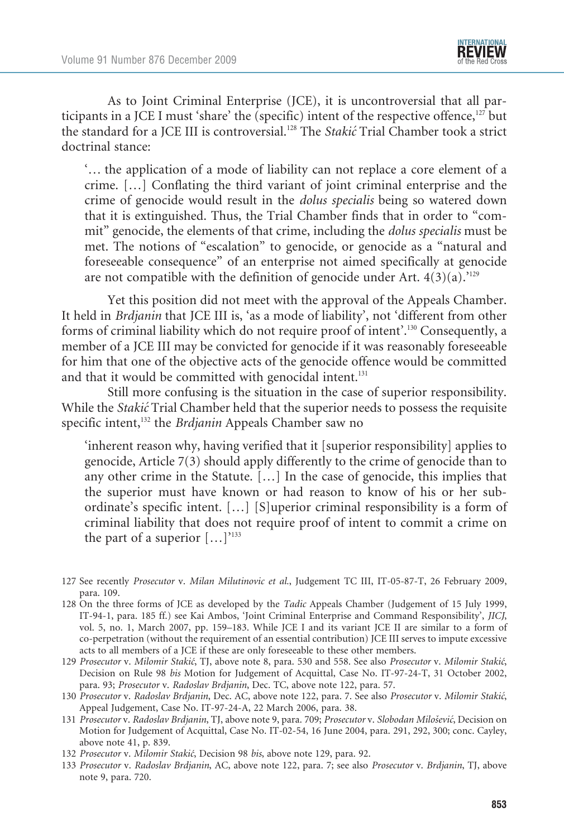As to Joint Criminal Enterprise (JCE), it is uncontroversial that all participants in a JCE I must 'share' the (specific) intent of the respective offence,<sup>127</sup> but the standard for a JCE III is controversial.<sup>128</sup> The *Stakić* Trial Chamber took a strict doctrinal stance:

'… the application of a mode of liability can not replace a core element of a crime. […] Conflating the third variant of joint criminal enterprise and the crime of genocide would result in the dolus specialis being so watered down that it is extinguished. Thus, the Trial Chamber finds that in order to "commit" genocide, the elements of that crime, including the dolus specialis must be met. The notions of "escalation" to genocide, or genocide as a "natural and foreseeable consequence" of an enterprise not aimed specifically at genocide are not compatible with the definition of genocide under Art.  $4(3)(a)$ .<sup>'129</sup>

Yet this position did not meet with the approval of the Appeals Chamber. It held in Brdjanin that JCE III is, 'as a mode of liability', not 'different from other forms of criminal liability which do not require proof of intent'.130 Consequently, a member of a JCE III may be convicted for genocide if it was reasonably foreseeable for him that one of the objective acts of the genocide offence would be committed and that it would be committed with genocidal intent.<sup>131</sup>

Still more confusing is the situation in the case of superior responsibility. While the *Stakić* Trial Chamber held that the superior needs to possess the requisite specific intent,<sup>132</sup> the *Brdjanin* Appeals Chamber saw no

'inherent reason why, having verified that it [superior responsibility] applies to genocide, Article 7(3) should apply differently to the crime of genocide than to any other crime in the Statute. […] In the case of genocide, this implies that the superior must have known or had reason to know of his or her subordinate's specific intent. […] [S]uperior criminal responsibility is a form of criminal liability that does not require proof of intent to commit a crime on the part of a superior  $[...]^{133}$ 

- 127 See recently Prosecutor v. Milan Milutinovic et al., Judgement TC III, IT-05-87-T, 26 February 2009, para. 109.
- 128 On the three forms of JCE as developed by the Tadic Appeals Chamber (Judgement of 15 July 1999, IT-94-1, para. 185 ff.) see Kai Ambos, 'Joint Criminal Enterprise and Command Responsibility', JICJ, vol. 5, no. 1, March 2007, pp. 159–183. While JCE I and its variant JCE II are similar to a form of co-perpetration (without the requirement of an essential contribution) JCE III serves to impute excessive acts to all members of a JCE if these are only foreseeable to these other members.
- 129 Prosecutor v. Milomir Stakić, TJ, above note 8, para. 530 and 558. See also Prosecutor v. Milomir Stakić, Decision on Rule 98 bis Motion for Judgement of Acquittal, Case No. IT-97-24-T, 31 October 2002, para. 93; Prosecutor v. Radoslav Brdjanin, Dec. TC, above note 122, para. 57.
- 130 Prosecutor v. Radoslav Brdjanin, Dec. AC, above note 122, para. 7. See also Prosecutor v. Milomir Stakić, Appeal Judgement, Case No. IT-97-24-A, 22 March 2006, para. 38.
- 131 Prosecutor v. Radoslav Brdjanin, TJ, above note 9, para. 709; Prosecutor v. Slobodan Milošević, Decision on Motion for Judgement of Acquittal, Case No. IT-02-54, 16 June 2004, para. 291, 292, 300; conc. Cayley, above note 41, p. 839.
- 132 Prosecutor v. Milomir Stakić, Decision 98 bis, above note 129, para. 92.
- 133 Prosecutor v. Radoslav Brdjanin, AC, above note 122, para. 7; see also Prosecutor v. Brdjanin, TJ, above note 9, para. 720.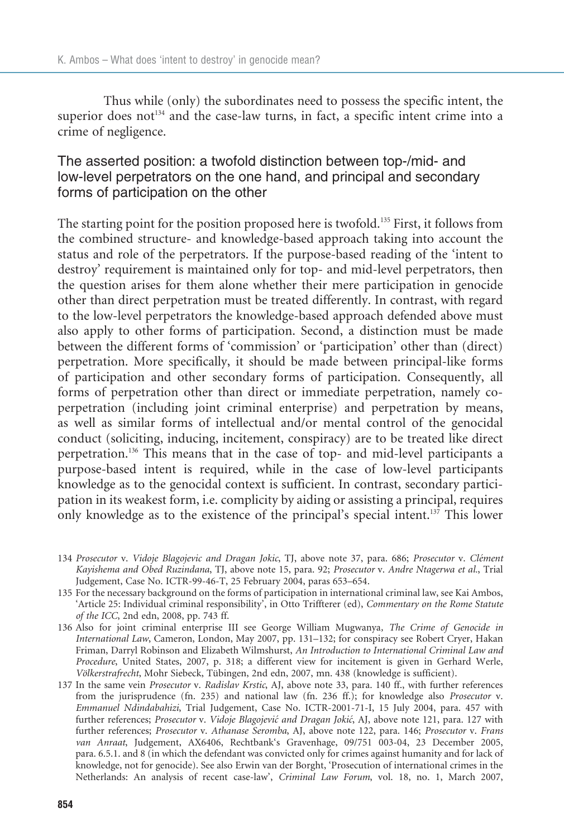Thus while (only) the subordinates need to possess the specific intent, the superior does not<sup> $134$ </sup> and the case-law turns, in fact, a specific intent crime into a crime of negligence.

The asserted position: a twofold distinction between top-/mid- and low-level perpetrators on the one hand, and principal and secondary forms of participation on the other

The starting point for the position proposed here is twofold.<sup>135</sup> First, it follows from the combined structure- and knowledge-based approach taking into account the status and role of the perpetrators. If the purpose-based reading of the 'intent to destroy' requirement is maintained only for top- and mid-level perpetrators, then the question arises for them alone whether their mere participation in genocide other than direct perpetration must be treated differently. In contrast, with regard to the low-level perpetrators the knowledge-based approach defended above must also apply to other forms of participation. Second, a distinction must be made between the different forms of 'commission' or 'participation' other than (direct) perpetration. More specifically, it should be made between principal-like forms of participation and other secondary forms of participation. Consequently, all forms of perpetration other than direct or immediate perpetration, namely coperpetration (including joint criminal enterprise) and perpetration by means, as well as similar forms of intellectual and/or mental control of the genocidal conduct (soliciting, inducing, incitement, conspiracy) are to be treated like direct perpetration.136 This means that in the case of top- and mid-level participants a purpose-based intent is required, while in the case of low-level participants knowledge as to the genocidal context is sufficient. In contrast, secondary participation in its weakest form, i.e. complicity by aiding or assisting a principal, requires only knowledge as to the existence of the principal's special intent.<sup>137</sup> This lower

- 134 Prosecutor v. Vidoje Blagojevic and Dragan Jokic, TJ, above note 37, para. 686; Prosecutor v. Clément Kayishema and Obed Ruzindana, TJ, above note 15, para. 92; Prosecutor v. Andre Ntagerwa et al., Trial Judgement, Case No. ICTR-99-46-T, 25 February 2004, paras 653–654.
- 135 For the necessary background on the forms of participation in international criminal law, see Kai Ambos, 'Article 25: Individual criminal responsibility', in Otto Triffterer (ed), Commentary on the Rome Statute of the ICC, 2nd edn, 2008, pp. 743 ff.
- 136 Also for joint criminal enterprise III see George William Mugwanya, The Crime of Genocide in International Law, Cameron, London, May 2007, pp. 131–132; for conspiracy see Robert Cryer, Hakan Friman, Darryl Robinson and Elizabeth Wilmshurst, An Introduction to International Criminal Law and Procedure, United States, 2007, p. 318; a different view for incitement is given in Gerhard Werle, Völkerstrafrecht, Mohr Siebeck, Tübingen, 2nd edn, 2007, mn. 438 (knowledge is sufficient).
- 137 In the same vein Prosecutor v. Radislav Krstic, AJ, above note 33, para. 140 ff., with further references from the jurisprudence (fn. 235) and national law (fn. 236 ff.); for knowledge also Prosecutor v. Emmanuel Ndindabahizi, Trial Judgement, Case No. ICTR-2001-71-I, 15 July 2004, para. 457 with further references; Prosecutor v. Vidoje Blagojević and Dragan Jokić, AJ, above note 121, para. 127 with further references; Prosecutor v. Athanase Seromba, AJ, above note 122, para. 146; Prosecutor v. Frans van Anraat, Judgement, AX6406, Rechtbank's Gravenhage, 09/751 003-04, 23 December 2005, para. 6.5.1. and 8 (in which the defendant was convicted only for crimes against humanity and for lack of knowledge, not for genocide). See also Erwin van der Borght, 'Prosecution of international crimes in the Netherlands: An analysis of recent case-law', Criminal Law Forum, vol. 18, no. 1, March 2007,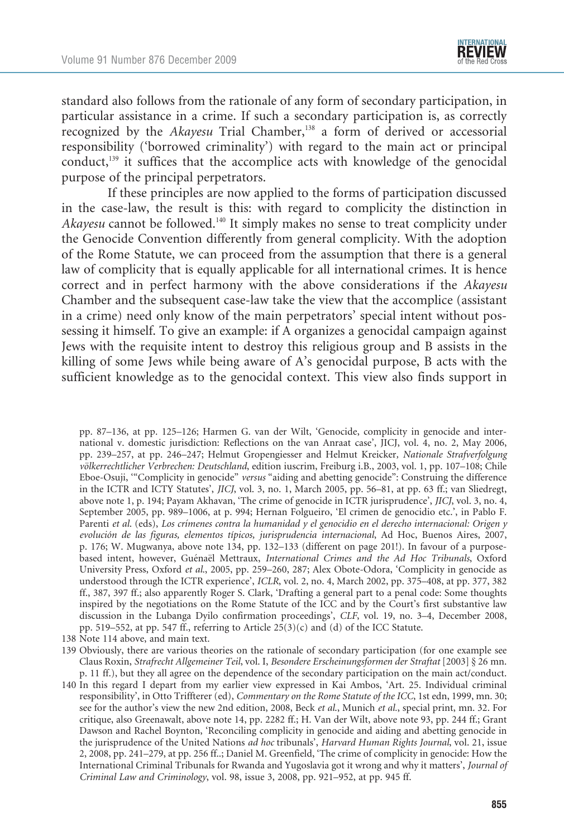

standard also follows from the rationale of any form of secondary participation, in particular assistance in a crime. If such a secondary participation is, as correctly recognized by the Akayesu Trial Chamber,<sup>138</sup> a form of derived or accessorial responsibility ('borrowed criminality') with regard to the main act or principal conduct,139 it suffices that the accomplice acts with knowledge of the genocidal purpose of the principal perpetrators.

If these principles are now applied to the forms of participation discussed in the case-law, the result is this: with regard to complicity the distinction in Akayesu cannot be followed.<sup>140</sup> It simply makes no sense to treat complicity under the Genocide Convention differently from general complicity. With the adoption of the Rome Statute, we can proceed from the assumption that there is a general law of complicity that is equally applicable for all international crimes. It is hence correct and in perfect harmony with the above considerations if the Akayesu Chamber and the subsequent case-law take the view that the accomplice (assistant in a crime) need only know of the main perpetrators' special intent without possessing it himself. To give an example: if A organizes a genocidal campaign against Jews with the requisite intent to destroy this religious group and B assists in the killing of some Jews while being aware of A's genocidal purpose, B acts with the sufficient knowledge as to the genocidal context. This view also finds support in

pp. 87–136, at pp. 125–126; Harmen G. van der Wilt, 'Genocide, complicity in genocide and international v. domestic jurisdiction: Reflections on the van Anraat case', JICJ, vol. 4, no. 2, May 2006, pp. 239–257, at pp. 246–247; Helmut Gropengiesser and Helmut Kreicker, Nationale Strafverfolgung völkerrechtlicher Verbrechen: Deutschland, edition iuscrim, Freiburg i.B., 2003, vol. 1, pp. 107-108; Chile Eboe-Osuji, '"Complicity in genocide" versus "aiding and abetting genocide": Construing the difference in the ICTR and ICTY Statutes', JICJ, vol. 3, no. 1, March 2005, pp. 56–81, at pp. 63 ff.; van Sliedregt, above note 1, p. 194; Payam Akhavan, 'The crime of genocide in ICTR jurisprudence', JICJ, vol. 3, no. 4, September 2005, pp. 989–1006, at p. 994; Hernan Folgueiro, 'El crimen de genocidio etc.', in Pablo F. Parenti et al. (eds), Los crímenes contra la humanidad y el genocidio en el derecho internacional: Origen y evolución de las figuras, elementos típicos, jurisprudencia internacional, Ad Hoc, Buenos Aires, 2007, p. 176; W. Mugwanya, above note 134, pp. 132–133 (different on page 201!). In favour of a purposebased intent, however, Guénaël Mettraux, International Crimes and the Ad Hoc Tribunals, Oxford University Press, Oxford et al., 2005, pp. 259–260, 287; Alex Obote-Odora, 'Complicity in genocide as understood through the ICTR experience', ICLR, vol. 2, no. 4, March 2002, pp. 375–408, at pp. 377, 382 ff., 387, 397 ff.; also apparently Roger S. Clark, 'Drafting a general part to a penal code: Some thoughts inspired by the negotiations on the Rome Statute of the ICC and by the Court's first substantive law discussion in the Lubanga Dyilo confirmation proceedings', CLF, vol. 19, no. 3–4, December 2008, pp. 519–552, at pp. 547 ff., referring to Article  $25(3)(c)$  and (d) of the ICC Statute.

138 Note 114 above, and main text.

- 139 Obviously, there are various theories on the rationale of secondary participation (for one example see Claus Roxin, Strafrecht Allgemeiner Teil, vol. I, Besondere Erscheinungsformen der Straftat [2003] § 26 mn. p. 11 ff.), but they all agree on the dependence of the secondary participation on the main act/conduct.
- 140 In this regard I depart from my earlier view expressed in Kai Ambos, 'Art. 25. Individual criminal responsibility', in Otto Triffterer (ed), Commentary on the Rome Statute of the ICC, 1st edn, 1999, mn. 30; see for the author's view the new 2nd edition, 2008, Beck et al., Munich et al., special print, mn. 32. For critique, also Greenawalt, above note 14, pp. 2282 ff.; H. Van der Wilt, above note 93, pp. 244 ff.; Grant Dawson and Rachel Boynton, 'Reconciling complicity in genocide and aiding and abetting genocide in the jurisprudence of the United Nations ad hoc tribunals', Harvard Human Rights Journal, vol. 21, issue 2, 2008, pp. 241–279, at pp. 256 ff..; Daniel M. Greenfield, 'The crime of complicity in genocide: How the International Criminal Tribunals for Rwanda and Yugoslavia got it wrong and why it matters', Journal of Criminal Law and Criminology, vol. 98, issue 3, 2008, pp. 921–952, at pp. 945 ff.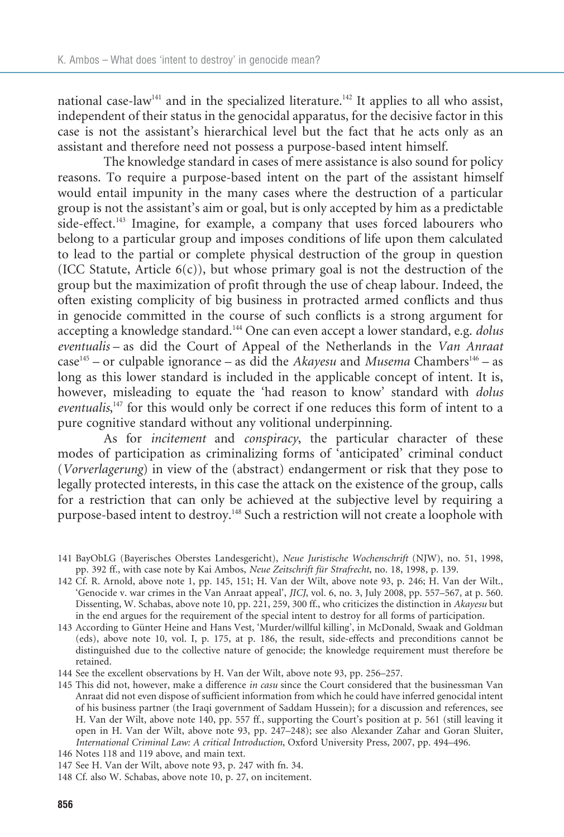national case-law<sup>141</sup> and in the specialized literature.<sup>142</sup> It applies to all who assist, independent of their status in the genocidal apparatus, for the decisive factor in this case is not the assistant's hierarchical level but the fact that he acts only as an assistant and therefore need not possess a purpose-based intent himself.

The knowledge standard in cases of mere assistance is also sound for policy reasons. To require a purpose-based intent on the part of the assistant himself would entail impunity in the many cases where the destruction of a particular group is not the assistant's aim or goal, but is only accepted by him as a predictable side-effect.<sup>143</sup> Imagine, for example, a company that uses forced labourers who belong to a particular group and imposes conditions of life upon them calculated to lead to the partial or complete physical destruction of the group in question (ICC Statute, Article  $6(c)$ ), but whose primary goal is not the destruction of the group but the maximization of profit through the use of cheap labour. Indeed, the often existing complicity of big business in protracted armed conflicts and thus in genocide committed in the course of such conflicts is a strong argument for accepting a knowledge standard.<sup>144</sup> One can even accept a lower standard, e.g. *dolus* eventualis – as did the Court of Appeal of the Netherlands in the Van Anraat  $case<sup>145</sup> - or culpable ignorance – as did the Akayesu and Museuma Chambers<sup>146</sup> – as$ long as this lower standard is included in the applicable concept of intent. It is, however, misleading to equate the 'had reason to know' standard with *dolus* eventualis,<sup>147</sup> for this would only be correct if one reduces this form of intent to a pure cognitive standard without any volitional underpinning.

As for incitement and conspiracy, the particular character of these modes of participation as criminalizing forms of 'anticipated' criminal conduct (Vorverlagerung) in view of the (abstract) endangerment or risk that they pose to legally protected interests, in this case the attack on the existence of the group, calls for a restriction that can only be achieved at the subjective level by requiring a purpose-based intent to destroy.<sup>148</sup> Such a restriction will not create a loophole with

144 See the excellent observations by H. Van der Wilt, above note 93, pp. 256–257.

- 147 See H. Van der Wilt, above note 93, p. 247 with fn. 34.
- 148 Cf. also W. Schabas, above note 10, p. 27, on incitement.

<sup>141</sup> BayObLG (Bayerisches Oberstes Landesgericht), Neue Juristische Wochenschrift (NJW), no. 51, 1998, pp. 392 ff., with case note by Kai Ambos, Neue Zeitschrift für Strafrecht, no. 18, 1998, p. 139.

<sup>142</sup> Cf. R. Arnold, above note 1, pp. 145, 151; H. Van der Wilt, above note 93, p. 246; H. Van der Wilt., 'Genocide v. war crimes in the Van Anraat appeal', JICJ, vol. 6, no. 3, July 2008, pp. 557–567, at p. 560. Dissenting, W. Schabas, above note 10, pp. 221, 259, 300 ff., who criticizes the distinction in Akayesu but in the end argues for the requirement of the special intent to destroy for all forms of participation.

<sup>143</sup> According to Günter Heine and Hans Vest, 'Murder/willful killing', in McDonald, Swaak and Goldman (eds), above note 10, vol. I, p. 175, at p. 186, the result, side-effects and preconditions cannot be distinguished due to the collective nature of genocide; the knowledge requirement must therefore be retained.

<sup>145</sup> This did not, however, make a difference in casu since the Court considered that the businessman Van Anraat did not even dispose of sufficient information from which he could have inferred genocidal intent of his business partner (the Iraqi government of Saddam Hussein); for a discussion and references, see H. Van der Wilt, above note 140, pp. 557 ff., supporting the Court's position at p. 561 (still leaving it open in H. Van der Wilt, above note 93, pp. 247–248); see also Alexander Zahar and Goran Sluiter, International Criminal Law: A critical Introduction, Oxford University Press, 2007, pp. 494–496.

<sup>146</sup> Notes 118 and 119 above, and main text.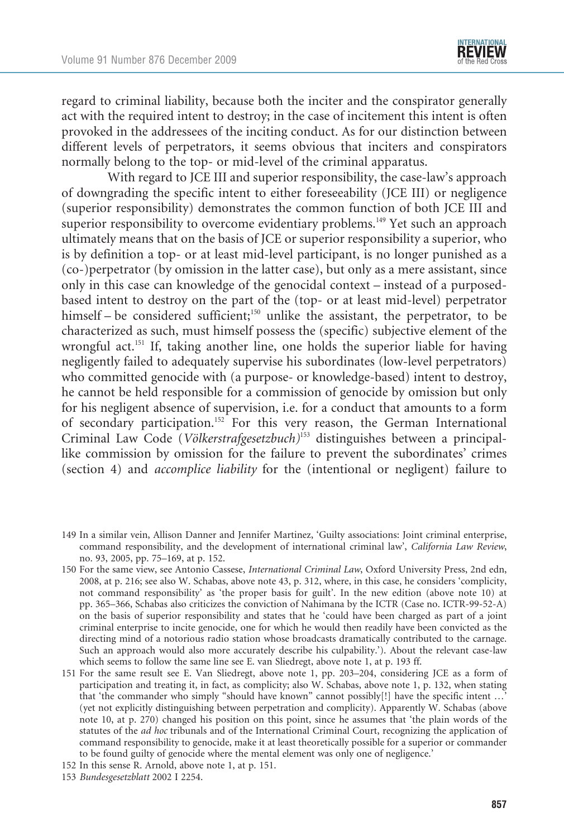regard to criminal liability, because both the inciter and the conspirator generally act with the required intent to destroy; in the case of incitement this intent is often provoked in the addressees of the inciting conduct. As for our distinction between different levels of perpetrators, it seems obvious that inciters and conspirators normally belong to the top- or mid-level of the criminal apparatus.

With regard to JCE III and superior responsibility, the case-law's approach of downgrading the specific intent to either foreseeability (JCE III) or negligence (superior responsibility) demonstrates the common function of both JCE III and superior responsibility to overcome evidentiary problems.<sup>149</sup> Yet such an approach ultimately means that on the basis of JCE or superior responsibility a superior, who is by definition a top- or at least mid-level participant, is no longer punished as a (co-)perpetrator (by omission in the latter case), but only as a mere assistant, since only in this case can knowledge of the genocidal context – instead of a purposedbased intent to destroy on the part of the (top- or at least mid-level) perpetrator himself – be considered sufficient;<sup>150</sup> unlike the assistant, the perpetrator, to be characterized as such, must himself possess the (specific) subjective element of the wrongful act.<sup>151</sup> If, taking another line, one holds the superior liable for having negligently failed to adequately supervise his subordinates (low-level perpetrators) who committed genocide with (a purpose- or knowledge-based) intent to destroy, he cannot be held responsible for a commission of genocide by omission but only for his negligent absence of supervision, i.e. for a conduct that amounts to a form of secondary participation.<sup>152</sup> For this very reason, the German International Criminal Law Code (Völkerstrafgesetzbuch)<sup>153</sup> distinguishes between a principallike commission by omission for the failure to prevent the subordinates' crimes (section 4) and accomplice liability for the (intentional or negligent) failure to

- 149 In a similar vein, Allison Danner and Jennifer Martinez, 'Guilty associations: Joint criminal enterprise, command responsibility, and the development of international criminal law', California Law Review, no. 93, 2005, pp. 75–169, at p. 152.
- 150 For the same view, see Antonio Cassese, International Criminal Law, Oxford University Press, 2nd edn, 2008, at p. 216; see also W. Schabas, above note 43, p. 312, where, in this case, he considers 'complicity, not command responsibility' as 'the proper basis for guilt'. In the new edition (above note 10) at pp. 365–366, Schabas also criticizes the conviction of Nahimana by the ICTR (Case no. ICTR-99-52-A) on the basis of superior responsibility and states that he 'could have been charged as part of a joint criminal enterprise to incite genocide, one for which he would then readily have been convicted as the directing mind of a notorious radio station whose broadcasts dramatically contributed to the carnage. Such an approach would also more accurately describe his culpability.'). About the relevant case-law which seems to follow the same line see E. van Sliedregt, above note 1, at p. 193 ff.
- 151 For the same result see E. Van Sliedregt, above note 1, pp. 203–204, considering JCE as a form of participation and treating it, in fact, as complicity; also W. Schabas, above note 1, p. 132, when stating that 'the commander who simply "should have known" cannot possibly[!] have the specific intent …' (yet not explicitly distinguishing between perpetration and complicity). Apparently W. Schabas (above note 10, at p. 270) changed his position on this point, since he assumes that 'the plain words of the statutes of the *ad hoc* tribunals and of the International Criminal Court, recognizing the application of command responsibility to genocide, make it at least theoretically possible for a superior or commander to be found guilty of genocide where the mental element was only one of negligence.'
- 152 In this sense R. Arnold, above note 1, at p. 151.
- 153 Bundesgesetzblatt 2002 I 2254.